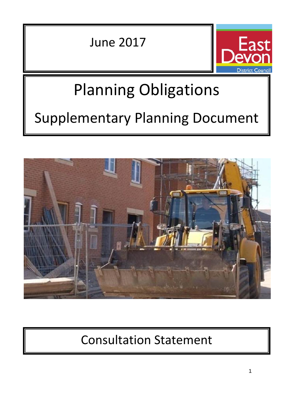June 2017



# Planning Obligations Supplementary Planning Document



# Consultation Statement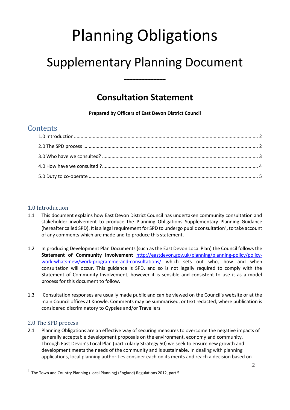# Planning Obligations

# Supplementary Planning Document

**--------------**

## **Consultation Statement**

**Prepared by Officers of East Devon District Council**

### **Contents**

#### 1.0 Introduction

- 1.1 This document explains how East Devon District Council has undertaken community consultation and stakeholder involvement to produce the Planning Obligations Supplementary Planning Guidance (hereafter called SPD). It is a legal requirement for SPD to undergo public consultation<sup>1</sup>, to take account of any comments which are made and to produce this statement.
- 1.2 In producing Development Plan Documents (such as the East Devon Local Plan) the Council follows the **Statement of Community Involvement** http://eastdevon.gov.uk/planning/planning-policy/policy work-whats-new/work-programme-and-consultations/ which sets out who, how and when consultation will occur. This guidance is SPD, and so is not legally required to comply with the Statement of Community Involvement, however it is sensible and consistent to use it as a model process for this document to follow.
- 1.3 Consultation responses are usually made public and can be viewed on the Council's website or at the main Council offices at Knowle. Comments may be summarised, or text redacted, where publication is considered discriminatory to Gypsies and/or Travellers.

#### 2.0 The SPD process

2.1 Planning Obligations are an effective way of securing measures to overcome the negative impacts of generally acceptable development proposals on the environment, economy and community. Through East Devon's Local Plan (particularly Strategy 50) we seek to ensure new growth and development meets the needs of the community and is sustainable. In dealing with planning applications, local planning authorities consider each on its merits and reach a decision based on

<sup>&</sup>lt;sup>1</sup> The Town and Country Planning (Local Planning) (England) Regulations 2012, part 5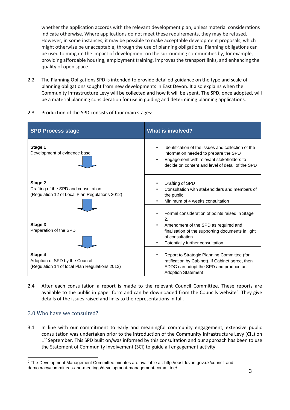whether the application accords with the relevant development plan, unless material considerations indicate otherwise. Where applications do not meet these requirements, they may be refused. However, in some instances, it may be possible to make acceptable development proposals, which might otherwise be unacceptable, through the use of planning obligations. Planning obligations can be used to mitigate the impact of development on the surrounding communities by, for example, providing affordable housing, employment training, improves the transport links, and enhancing the quality of open space.

2.2 The Planning Obligations SPD is intended to provide detailed guidance on the type and scale of planning obligations sought from new developments in East Devon. It also explains when the Community Infrastructure Levy will be collected and how it will be spent. The SPD, once adopted, will be a material planning consideration for use in guiding and determining planning applications.

| <b>SPD Process stage</b>                                                                          | <b>What is involved?</b>                                                                                                                                                                                       |
|---------------------------------------------------------------------------------------------------|----------------------------------------------------------------------------------------------------------------------------------------------------------------------------------------------------------------|
| Stage 1<br>Development of evidence base                                                           | Identification of the issues and collection of the<br>information needed to prepare the SPD<br>Engagement with relevant stakeholders to<br>decide on content and level of detail of the SPD                    |
| Stage 2<br>Drafting of the SPD and consultation<br>(Regulation 12 of Local Plan Regulations 2012) | Drafting of SPD<br>Consultation with stakeholders and members of<br>the public<br>Minimum of 4 weeks consultation                                                                                              |
| Stage 3<br>Preparation of the SPD                                                                 | Formal consideration of points raised in Stage<br>2.<br>Amendment of the SPD as required and<br>finalisation of the supporting documents in light<br>of consultation.<br>Potentially further consultation<br>٠ |
| Stage 4<br>Adoption of SPD by the Council<br>(Regulation 14 of local Plan Regulations 2012)       | Report to Strategic Planning Committee (for<br>٠<br>ratification by Cabinet). If Cabinet agree, then<br>EDDC can adopt the SPD and produce an<br><b>Adoption Statement</b>                                     |

2.3 Production of the SPD consists of four main stages:

2.4 After each consultation a report is made to the relevant Council Committee. These reports are available to the public in paper form and can be downloaded from the Councils website<sup>2</sup>. They give details of the issues raised and links to the representations in full.

#### 3.0 Who have we consulted?

3.1 In line with our commitment to early and meaningful community engagement, extensive public consultation was undertaken prior to the introduction of the Community Infrastructure Levy (CIL) on 1<sup>st</sup> September. This SPD built on/was informed by this consultation and our approach has been to use the Statement of Community Involvement (SCI) to guide all engagement activity.

<sup>2</sup> The Development Management Committee minutes are available at: http://eastdevon.gov.uk/council-and democracy/committees-and-meetings/development-management-committee/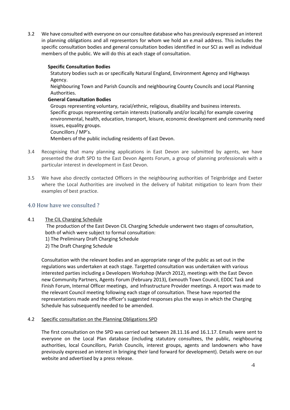3.2 We have consulted with everyone on our consultee database who has previously expressed an interest in planning obligations and all representors for whom we hold an e.mail address. This includes the specific consultation bodies and general consultation bodies identified in our SCI as well as individual members of the public. We will do this at each stage of consultation.

#### **Specific Consultation Bodies**

Statutory bodies such as or specifically Natural England, Environment Agency and Highways Agency.

Neighbouring Town and Parish Councils and neighbouring County Councils and Local Planning Authorities.

#### **General Consultation Bodies**

Groups representing voluntary, racial/ethnic, religious, disability and business interests. Specific groups representing certain interests (nationally and/or locally) for example covering environmental, health, education, transport, leisure, economic development and community need issues, equality groups. Councillors / MP's.

Members of the public including residents of East Devon.

- 3.4 Recognising that many planning applications in East Devon are submitted by agents, we have presented the draft SPD to the East Devon Agents Forum, a group of planning professionals with a particular interest in development in East Devon.
- 3.5 We have also directly contacted Officers in the neighbouring authorities of Teignbridge and Exeter where the Local Authorities are involved in the delivery of habitat mitigation to learn from their examples of best practice.

#### 4.0 How have we consulted ?

#### 4.1 The CIL Charging Schedule

The production of the East Devon CIL Charging Schedule underwent two stages of consultation, both of which were subject to formal consultation:

- 1) The Preliminary Draft Charging Schedule
- 2) The Draft Charging Schedule

Consultation with the relevant bodies and an appropriate range of the public as set out in the regulations was undertaken at each stage. Targetted consultation was undertaken with various interested parties including a Developers Workshop (March 2012), meetings with the East Devon new Community Partners, Agents Forum (February 2013), Exmouth Town Council, EDDC Task and Finish Forum, Internal Officer meetings, and Infrastructure Provider meetings. A report was made to the relevant Council meeting following each stage of consultation. These have reported the representations made and the officer's suggested responses plus the ways in which the Charging Schedule has subsequently needed to be amended.

#### 4.2 Specific consultation on the Planning Obligations SPD

The first consultation on the SPD was carried out between 28.11.16 and 16.1.17. Emails were sent to everyone on the Local Plan database (including statutory consultees, the public, neighbouring authorities, local Councillors, Parish Councils, interest groups, agents and landowners who have previously expressed an interest in bringing their land forward for development). Details were on our website and advertised by a press release.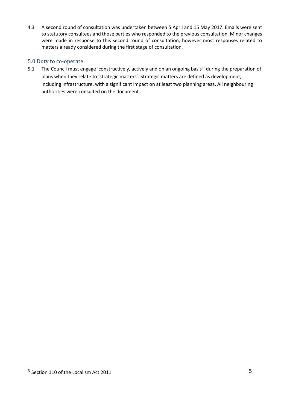4.3 A second round of consultation was undertaken between 5 April and 15 May 2017. Emails were sent to statutory consultees and those parties who responded to the previous consultation. Minor changes were made in response to this second round of consultation, however most responses related to matters already considered during the first stage of consultation.

#### 5.0 Duty to co-operate

5.1 The Council must engage 'constructively, actively and on an ongoing basis<sup>3</sup>' during the preparation of plans when they relate to 'strategic matters'. Strategic matters are defined as development, including infrastructure, with a significant impact on at least two planning areas. All neighbouring authorities were consulted on the document.

<sup>3</sup> Section 110 of the Localism Act 2011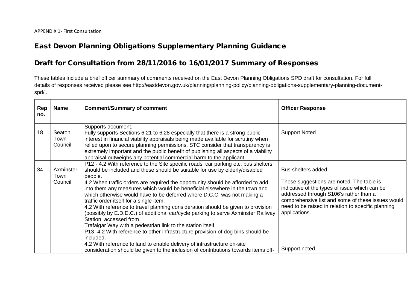## **East Devon Planning Obligations Supplementary Planning Guidance**

## **Draft for Consultation from 28/11/2016 to 16/01/2017 Summary of Responses**

These tables include a brief officer summary of comments received on the East Devon Planning Obligations SPD draft for consultation. For full details of responses received please see http://eastdevon.gov.uk/planning/planning-policy/planning-obligations-supplementary-planning-document spd/ .

| Rep<br>no. | <b>Name</b>                  | <b>Comment/Summary of comment</b>                                                                                                                                                                                                                                                                                                                                                                                                       | <b>Officer Response</b>                                                                                                                                            |
|------------|------------------------------|-----------------------------------------------------------------------------------------------------------------------------------------------------------------------------------------------------------------------------------------------------------------------------------------------------------------------------------------------------------------------------------------------------------------------------------------|--------------------------------------------------------------------------------------------------------------------------------------------------------------------|
| 18         | Seaton<br>Town<br>Council    | Supports document.<br>Fully supports Sections 6.21 to 6.28 especially that there is a strong public<br>interest in financial viability appraisals being made available for scrutiny when<br>relied upon to secure planning permissions. STC consider that transparency is<br>extremely important and the public benefit of publishing all aspects of a viability<br>appraisal outweighs any potential commercial harm to the applicant. | <b>Support Noted</b>                                                                                                                                               |
| 34         | Axminster<br>Town<br>Council | P12 - 4.2 With reference to the Site specific roads, car parking etc. bus shelters<br>should be included and these should be suitable for use by elderly/disabled<br>people.<br>4.2 When traffic orders are required the opportunity should be afforded to add<br>into them any measures which would be beneficial elsewhere in the town and                                                                                            | Bus shelters added<br>These suggestions are noted. The table is<br>indicative of the types of issue which can be                                                   |
|            |                              | which otherwise would have to be deferred where D.C.C. was not making a<br>traffic order itself for a single item.<br>4.2 With reference to travel planning consideration should be given to provision<br>(possibly by E.D.D.C.) of additional car/cycle parking to serve Axminster Railway<br>Station, accessed from                                                                                                                   | addressed through S106's rather than a<br>comprehensive list and some of these issues would<br>need to be raised in relation to specific planning<br>applications. |
|            |                              | Trafalgar Way with a pedestrian link to the station itself.<br>P13- 4.2 With reference to other infrastructure provision of dog bins should be<br>included.<br>4.2 With reference to land to enable delivery of infrastructure on-site                                                                                                                                                                                                  |                                                                                                                                                                    |
|            |                              | consideration should be given to the inclusion of contributions towards items off-                                                                                                                                                                                                                                                                                                                                                      | Support noted                                                                                                                                                      |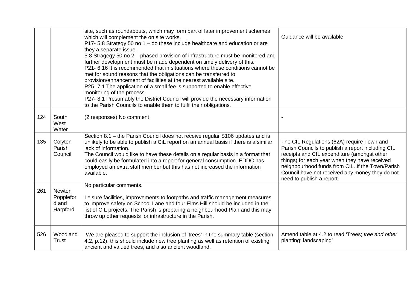|     |                                          | site, such as roundabouts, which may form part of later improvement schemes<br>which will complement the on site works.<br>P17-5.8 Strategy 50 no 1 - do these include healthcare and education or are<br>they a separate issue.<br>5.8 Stragegy 50 no 2 – phased provision of infrastructure must be monitored and<br>further development must be made dependent on timely delivery of this.<br>P21- 6.16 It is recommended that in situations where these conditions cannot be<br>met for sound reasons that the obligations can be transferred to<br>provision/enhancement of facilities at the nearest available site.<br>P25-7.1 The application of a small fee is supported to enable effective<br>monitoring of the process.<br>P27-8.1 Presumably the District Council will provide the necessary information<br>to the Parish Councils to enable them to fulfil their obligations. | Guidance will be available                                                                                                                                                                                                                                                                                                          |
|-----|------------------------------------------|---------------------------------------------------------------------------------------------------------------------------------------------------------------------------------------------------------------------------------------------------------------------------------------------------------------------------------------------------------------------------------------------------------------------------------------------------------------------------------------------------------------------------------------------------------------------------------------------------------------------------------------------------------------------------------------------------------------------------------------------------------------------------------------------------------------------------------------------------------------------------------------------|-------------------------------------------------------------------------------------------------------------------------------------------------------------------------------------------------------------------------------------------------------------------------------------------------------------------------------------|
| 124 | South<br>West<br>Water                   | (2 responses) No comment                                                                                                                                                                                                                                                                                                                                                                                                                                                                                                                                                                                                                                                                                                                                                                                                                                                                    |                                                                                                                                                                                                                                                                                                                                     |
| 135 | Colyton<br>Parish<br>Council             | Section 8.1 - the Parish Council does not receive regular S106 updates and is<br>unlikely to be able to publish a CiL report on an annual basis if there is a similar<br>lack of information.<br>The Council would like to have these details on a regular basis in a format that<br>could easily be formulated into a report for general consumption. EDDC has<br>employed an extra staff member but this has not increased the information<br>available.                                                                                                                                                                                                                                                                                                                                                                                                                                  | The CIL Regulations (62A) require Town and<br>Parish Councils to publish a report including CIL<br>receipts and CIL expenditure (amongst other<br>things) for each year when they have received<br>neighbourhood funds from CIL. If the Town/Parish<br>Council have not received any money they do not<br>need to publish a report. |
| 261 | Newton<br>Popplefor<br>d and<br>Harpford | No particular comments.<br>Leisure facilities, improvements to footpaths and traffic management measures<br>to improve safety on School Lane and four Elms Hill should be included in the<br>list of CIL projects. The Parish is preparing a neighbourhood Plan and this may<br>throw up other requests for infrastructure in the Parish.                                                                                                                                                                                                                                                                                                                                                                                                                                                                                                                                                   |                                                                                                                                                                                                                                                                                                                                     |
| 526 | Woodland<br>Trust                        | We are pleased to support the inclusion of 'trees' in the summary table (section<br>4.2, p.12), this should include new tree planting as well as retention of existing<br>ancient and valued trees, and also ancient woodland.                                                                                                                                                                                                                                                                                                                                                                                                                                                                                                                                                                                                                                                              | Amend table at 4.2 to read 'Trees; tree and other<br>planting; landscaping'                                                                                                                                                                                                                                                         |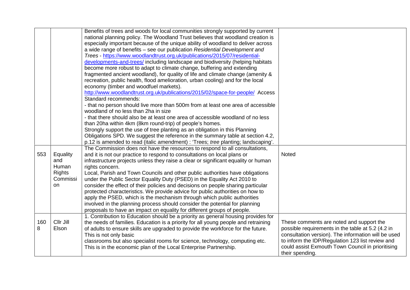|          |                                                       | Benefits of trees and woods for local communities strongly supported by current<br>national planning policy. The Woodland Trust believes that woodland creation is<br>especially important because of the unique ability of woodland to deliver across<br>a wide range of benefits – see our publication Residential Development and<br>Trees - https://www.woodlandtrust.org.uk/publications/2015/07/residential-<br>developments-and-trees/ including landscape and biodiversity (helping habitats<br>become more robust to adapt to climate change, buffering and extending<br>fragmented ancient woodland), for quality of life and climate change (amenity &<br>recreation, public health, flood amelioration, urban cooling) and for the local |                                                                                                                                                                                                                                                                                  |
|----------|-------------------------------------------------------|------------------------------------------------------------------------------------------------------------------------------------------------------------------------------------------------------------------------------------------------------------------------------------------------------------------------------------------------------------------------------------------------------------------------------------------------------------------------------------------------------------------------------------------------------------------------------------------------------------------------------------------------------------------------------------------------------------------------------------------------------|----------------------------------------------------------------------------------------------------------------------------------------------------------------------------------------------------------------------------------------------------------------------------------|
|          |                                                       | economy (timber and woodfuel markets).<br>http://www.woodlandtrust.org.uk/publications/2015/02/space-for-people/ Access<br>Standard recommends:                                                                                                                                                                                                                                                                                                                                                                                                                                                                                                                                                                                                      |                                                                                                                                                                                                                                                                                  |
|          |                                                       | - that no person should live more than 500m from at least one area of accessible<br>woodland of no less than 2ha in size<br>- that there should also be at least one area of accessible woodland of no less                                                                                                                                                                                                                                                                                                                                                                                                                                                                                                                                          |                                                                                                                                                                                                                                                                                  |
|          |                                                       | than 20ha within 4km (8km round-trip) of people's homes.<br>Strongly support the use of tree planting as an obligation in this Planning<br>Obligations SPD. We suggest the reference in the summary table at section 4.2,                                                                                                                                                                                                                                                                                                                                                                                                                                                                                                                            |                                                                                                                                                                                                                                                                                  |
|          |                                                       | p.12 is amended to read (italic amendment) : 'Trees; tree planting; landscaping'.                                                                                                                                                                                                                                                                                                                                                                                                                                                                                                                                                                                                                                                                    |                                                                                                                                                                                                                                                                                  |
| 553      | Equality<br>and<br>Human<br><b>Rights</b><br>Commissi | The Commission does not have the resources to respond to all consultations,<br>and it is not our practice to respond to consultations on local plans or<br>infrastructure projects unless they raise a clear or significant equality or human<br>rights concern.<br>Local, Parish and Town Councils and other public authorities have obligations<br>under the Public Sector Equality Duty (PSED) in the Equality Act 2010 to                                                                                                                                                                                                                                                                                                                        | Noted                                                                                                                                                                                                                                                                            |
|          | on                                                    | consider the effect of their policies and decisions on people sharing particular<br>protected characteristics. We provide advice for public authorities on how to<br>apply the PSED, which is the mechanism through which public authorities<br>involved in the planning process should consider the potential for planning<br>proposals to have an impact on equality for different groups of people.                                                                                                                                                                                                                                                                                                                                               |                                                                                                                                                                                                                                                                                  |
| 160<br>8 | Cllr Jill<br>Elson                                    | 1. Contribution to Education should be a priority as general housing provides for<br>the needs of families. Education is a priority for all young people and retraining<br>of adults to ensure skills are upgraded to provide the workforce for the future.<br>This is not only basic<br>classrooms but also specialist rooms for science, technology, computing etc.<br>This is in the economic plan of the Local Enterprise Partnership.                                                                                                                                                                                                                                                                                                           | These comments are noted and support the<br>possible requirements in the table at 5.2 (4.2 in<br>consultation version). The information will be used<br>to inform the IDP/Regulation 123 list review and<br>could assist Exmouth Town Council in prioritising<br>their spending. |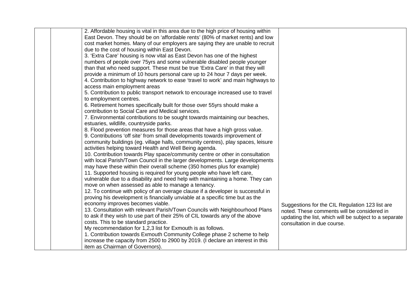| 2. Affordable housing is vital in this area due to the high price of housing within |                                                        |
|-------------------------------------------------------------------------------------|--------------------------------------------------------|
| East Devon. They should be on 'affordable rents' (80% of market rents) and low      |                                                        |
| cost market homes. Many of our employers are saying they are unable to recruit      |                                                        |
| due to the cost of housing within East Devon.                                       |                                                        |
| 3. 'Extra Care' housing is now vital as East Devon has one of the highest           |                                                        |
| numbers of people over 75 yrs and some vulnerable disabled people younger           |                                                        |
| than that who need support. These must be true 'Extra Care' in that they will       |                                                        |
| provide a minimum of 10 hours personal care up to 24 hour 7 days per week.          |                                                        |
| 4. Contribution to highway network to ease 'travel to work' and main highways to    |                                                        |
| access main employment areas                                                        |                                                        |
| 5. Contribution to public transport network to encourage increased use to travel    |                                                        |
| to employment centres.                                                              |                                                        |
| 6. Retirement homes specifically built for those over 55yrs should make a           |                                                        |
| contribution to Social Care and Medical services.                                   |                                                        |
| 7. Environmental contributions to be sought towards maintaining our beaches,        |                                                        |
| estuaries, wildlife, countryside parks.                                             |                                                        |
| 8. Flood prevention measures for those areas that have a high gross value.          |                                                        |
| 9. Contributions 'off site' from small developments towards improvement of          |                                                        |
| community buildings (eg. village halls, community centres), play spaces, leisure    |                                                        |
| activities helping toward Health and Well Being agenda.                             |                                                        |
| 10. Contribution towards Play space/community centre or other in consultation       |                                                        |
| with local Parish/Town Council in the larger developments. Large developments       |                                                        |
| may have these within their overall scheme (350 homes plus for example)             |                                                        |
| 11. Supported housing is required for young people who have left care,              |                                                        |
| vulnerable due to a disability and need help with maintaining a home. They can      |                                                        |
| move on when assessed as able to manage a tenancy.                                  |                                                        |
| 12. To continue with policy of an overage clause if a developer is successful in    |                                                        |
| proving his development is financially unviable at a specific time but as the       |                                                        |
| economy improves becomes viable.                                                    | Suggestions for the CIL Regulation 123 list are        |
| 13. Consultation with relevant Parish/Town Councils with Neighbourhood Plans        | noted. These comments will be considered in            |
| to ask if they wish to use part of their 25% of CIL towards any of the above        | updating the list, which will be subject to a separate |
| costs. This to be standard practice.                                                | consultation in due course.                            |
| My recommendation for 1,2,3 list for Exmouth is as follows.                         |                                                        |
| 1. Contribution towards Exmouth Community College phase 2 scheme to help            |                                                        |
| increase the capacity from 2500 to 2900 by 2019. (I declare an interest in this     |                                                        |
| item as Chairman of Governors).                                                     |                                                        |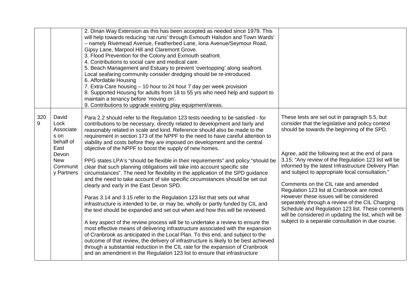|          |                                                                                                          | 2. Dinan Way Extension as this has been accepted as needed since 1979. This<br>will help towards reducing 'rat runs' through Exmouth Halsdon and Town Wards'<br>- namely Rivemead Avenue, Featherbed Lane, Iona Avenue/Seymour Road,<br>Gipsy Lane, Marpool Hill and Claremont Grove.<br>3. Flood Prevention for the Colony and Exmouth seafront.<br>4. Contributions to social care and medical care.<br>5. Beach Management and Estuary to prevent 'overtopping' along seafront.<br>Local seafaring community consider dredging should be re-introduced.<br>6. Affordable Housing<br>7. Extra-Care housing – 10 hour to 24 hour 7 day per week provision<br>8. Supported Housing for adults from 18 to 55 yrs who need help and support to<br>maintain a tenancy before 'moving on'.<br>9. Contributions to upgrade existing play equipment/areas.                                                                                                                                                                                                                                                                                                                                                                                                                                                                                                                                                                                                                                                                                                                                                                    |                                                                                                                                                                                                                                                                                                                                                                                                                                                                                                                                                                                                                                                                                                                                |
|----------|----------------------------------------------------------------------------------------------------------|-------------------------------------------------------------------------------------------------------------------------------------------------------------------------------------------------------------------------------------------------------------------------------------------------------------------------------------------------------------------------------------------------------------------------------------------------------------------------------------------------------------------------------------------------------------------------------------------------------------------------------------------------------------------------------------------------------------------------------------------------------------------------------------------------------------------------------------------------------------------------------------------------------------------------------------------------------------------------------------------------------------------------------------------------------------------------------------------------------------------------------------------------------------------------------------------------------------------------------------------------------------------------------------------------------------------------------------------------------------------------------------------------------------------------------------------------------------------------------------------------------------------------------------------------------------------------------------------------------------------------|--------------------------------------------------------------------------------------------------------------------------------------------------------------------------------------------------------------------------------------------------------------------------------------------------------------------------------------------------------------------------------------------------------------------------------------------------------------------------------------------------------------------------------------------------------------------------------------------------------------------------------------------------------------------------------------------------------------------------------|
| 320<br>9 | David<br>Lock<br>Associate<br>s on<br>behalf of<br>East<br>Devon<br><b>New</b><br>Communit<br>y Partners | Para 2.2 should refer to the Regulation 123 tests needing to be satisfied - for<br>contributions to be necessary, directly related to development and fairly and<br>reasonably related in scale and kind. Reference should also be made to the<br>requirement in section 173 of the NPPF to the need to have careful attention to<br>viability and costs before they are imposed on development and the central<br>objective of the NPPF to boost the supply of new homes.<br>PPG states LPA's "should be flexible in their requirements" and policy "should be<br>clear that such planning obligations will take into account specific site<br>circumstances". The need for flexibility in the application of the SPD guidance<br>and the need to take account of site specific circumstances should be set out<br>clearly and early in the East Devon SPD.<br>Paras 3.14 and 3.15 refer to the Regulation 123 list that sets out what<br>infrastructure is intended to be, or may be, wholly or partly funded by CIL and<br>the text should be expanded and set out when and how this will be reviewed.<br>A key aspect of the review process will be to undertake a review to ensure the<br>most effective means of delivering infrastructure associated with the expansion<br>of Cranbrook as anticipated in the Local Plan. To this end, and subject to the<br>outcome of that review, the delivery of infrastructure is likely to be best achieved<br>through a substantial reduction in the CIL rate for the expansion of Cranbrook<br>and an amendment in the Regulation 123 list to ensure that infrastructure | These tests are set out in paragraph 5.5, but<br>consider that the legislative and policy context<br>should be towards the beginning of the SPD.<br>Agree, add the following text at the end of para<br>3.15: "Any review of the Regulation 123 list will be<br>informed by the latest Infrastructure Delivery Plan<br>and subject to appropriate local consultation."<br>Comments on the CIL rate and amended<br>Regulation 123 list at Cranbrook are noted.<br>However these issues will be considered<br>separately through a review of the CIL Charging<br>Schedule and Regulation 123 list. These comments<br>will be considered in updating the list, which will be<br>subject to a separate consultation in due course. |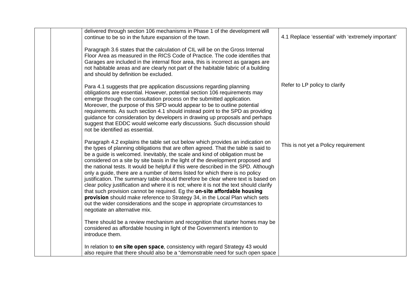| delivered through section 106 mechanisms in Phase 1 of the development will<br>continue to be so in the future expansion of the town.                                                                                                                                                                                                                                                                                                                                                                                                                                                                                                                                                                                                                                                                                                                                                                                                                                       | 4.1 Replace 'essential' with 'extremely important' |
|-----------------------------------------------------------------------------------------------------------------------------------------------------------------------------------------------------------------------------------------------------------------------------------------------------------------------------------------------------------------------------------------------------------------------------------------------------------------------------------------------------------------------------------------------------------------------------------------------------------------------------------------------------------------------------------------------------------------------------------------------------------------------------------------------------------------------------------------------------------------------------------------------------------------------------------------------------------------------------|----------------------------------------------------|
| Paragraph 3.6 states that the calculation of CIL will be on the Gross Internal<br>Floor Area as measured in the RICS Code of Practice. The code identifies that<br>Garages are included in the internal floor area, this is incorrect as garages are<br>not habitable areas and are clearly not part of the habitable fabric of a building<br>and should by definition be excluded.                                                                                                                                                                                                                                                                                                                                                                                                                                                                                                                                                                                         |                                                    |
| Para 4.1 suggests that pre application discussions regarding planning<br>obligations are essential. However, potential section 106 requirements may<br>emerge through the consultation process on the submitted application.<br>Moreover, the purpose of this SPD would appear to be to outline potential<br>requirements. As such section 4.1 should instead point to the SPD as providing<br>guidance for consideration by developers in drawing up proposals and perhaps<br>suggest that EDDC would welcome early discussions. Such discussion should<br>not be identified as essential.                                                                                                                                                                                                                                                                                                                                                                                 | Refer to LP policy to clarify                      |
| Paragraph 4.2 explains the table set out below which provides an indication on<br>the types of planning obligations that are often agreed. That the table is said to<br>be a guide is welcomed. Inevitably, the scale and kind of obligation must be<br>considered on a site by site basis in the light of the development proposed and<br>the national tests. It would be helpful if this were described in the SPD. Although<br>only a guide, there are a number of items listed for which there is no policy<br>justification. The summary table should therefore be clear where text is based on<br>clear policy justification and where it is not; where it is not the text should clarify<br>that such provision cannot be required. Eg the on-site affordable housing<br>provision should make reference to Strategy 34, in the Local Plan which sets<br>out the wider considerations and the scope in appropriate circumstances to<br>negotiate an alternative mix. | This is not yet a Policy requirement               |
| There should be a review mechanism and recognition that starter homes may be<br>considered as affordable housing in light of the Government's intention to<br>introduce them.                                                                                                                                                                                                                                                                                                                                                                                                                                                                                                                                                                                                                                                                                                                                                                                               |                                                    |
| In relation to on site open space, consistency with regard Strategy 43 would<br>also require that there should also be a "demonstrable need for such open space                                                                                                                                                                                                                                                                                                                                                                                                                                                                                                                                                                                                                                                                                                                                                                                                             |                                                    |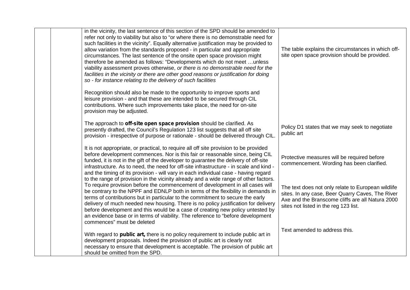| in the vicinity, the last sentence of this section of the SPD should be amended to<br>refer not only to viability but also to "or where there is no demonstrable need for<br>such facilities in the vicinity". Equally alternative justification may be provided to<br>allow variation from the standards proposed - in particular and appropriate<br>circumstances. The last sentence of the onsite open space provision might<br>therefore be amended as follows: "Developments which do not meet  unless<br>viability assessment proves otherwise, or there is no demonstrable need for the<br>facilities in the vicinity or there are other good reasons or justification for doing<br>so - for instance relating to the delivery of such facilities | The table explains the circumstances in which off-<br>site open space provision should be provided.                                                                                                 |
|----------------------------------------------------------------------------------------------------------------------------------------------------------------------------------------------------------------------------------------------------------------------------------------------------------------------------------------------------------------------------------------------------------------------------------------------------------------------------------------------------------------------------------------------------------------------------------------------------------------------------------------------------------------------------------------------------------------------------------------------------------|-----------------------------------------------------------------------------------------------------------------------------------------------------------------------------------------------------|
| Recognition should also be made to the opportunity to improve sports and<br>leisure provision - and that these are intended to be secured through CIL<br>contributions. Where such improvements take place, the need for on-site<br>provision may be adjusted.                                                                                                                                                                                                                                                                                                                                                                                                                                                                                           |                                                                                                                                                                                                     |
| The approach to off-site open space provision should be clarified. As<br>presently drafted, the Council's Regulation 123 list suggests that all off site<br>provision - irrespective of purpose or rationale - should be delivered through CIL.                                                                                                                                                                                                                                                                                                                                                                                                                                                                                                          | Policy D1 states that we may seek to negotiate<br>public art                                                                                                                                        |
| It is not appropriate, or practical, to require all off site provision to be provided<br>before development commences. Nor is this fair or reasonable since, being CIL<br>funded, it is not in the gift of the developer to guarantee the delivery of off-site<br>infrastructure. As to need, the need for off-site infrastructure - in scale and kind -<br>and the timing of its provision - will vary in each individual case - having regard                                                                                                                                                                                                                                                                                                          | Protective measures will be required before<br>commencement. Wording has been clarified.                                                                                                            |
| to the range of provision in the vicinity already and a wide range of other factors.<br>To require provision before the commencement of development in all cases will<br>be contrary to the NPPF and EDNLP both in terms of the flexibility in demands in<br>terms of contributions but in particular to the commitment to secure the early<br>delivery of much needed new housing. There is no policy justification for delivery<br>before development and this would be a case of creating new policy untested by<br>an evidence base or in terms of viability. The reference to "before development<br>commences" must be deleted                                                                                                                     | The text does not only relate to European wildlife<br>sites. In any case, Beer Quarry Caves, The River<br>Axe and the Branscome cliffs are all Natura 2000<br>sites not listed in the reg 123 list. |
| With regard to public art, there is no policy requirement to include public art in<br>development proposals. Indeed the provision of public art is clearly not<br>necessary to ensure that development is acceptable. The provision of public art<br>should be omitted from the SPD.                                                                                                                                                                                                                                                                                                                                                                                                                                                                     | Text amended to address this.                                                                                                                                                                       |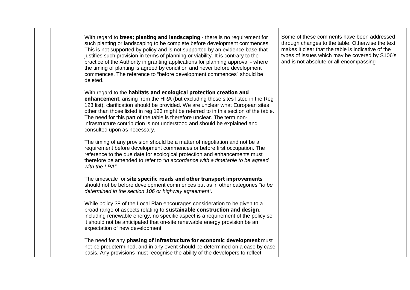With regard to *trees; planting and landscaping* - there is no requirement for such planting or landscaping to be complete before development commences. This is not supported by policy and is not supported by an evidence base that justifies such provision in terms of planning or viability. It is contrary to the practice of the Authority in granting applications for planning approval - where the timing of planting is agreed by condition and never before development commences. The reference to "before development commences" should be deleted. With regard to the *habitats and ecological protection creation and enhancement*, arising from the HRA (but excluding those sites listed in the Reg 123 list), clarification should be provided. We are unclear what European sites other than those listed in reg 123 might be referred to in this section of the table. The need for this part of the table is therefore unclear. The term noninfrastructure contribution is not understood and should be explained and consulted upon as necessary. The timing of any provision should be a matter of negotiation and not be a requirement before development commences or before first occupation. The reference to the due date for ecological protection and enhancements must therefore be amended to refer to *"in accordance with a timetable to be agreed with the LPA".* The timescale for *site specific roads and other transport improvements* should not be before development commences but as in other categories *"to be determined in the section 106 or highway agreement".* While policy 38 of the Local Plan encourages consideration to be given to a broad range of aspects relating to *sustainable construction and design*, including renewable energy, no specific aspect is a requirement of the policy so it should not be anticipated that on-site renewable energy provision be an expectation of new development. The need for any *phasing of infrastructure for economic development* must not be predetermined, and in any event should be determined on a case by case basis. Any provisions must recognise the ability of the developers to reflect

Some of these comments have been addressed through changes to the table. Otherwise the text makes it clear that the table is indicative of the types of issues which may be covered by S106's and is not absolute or all-encompassing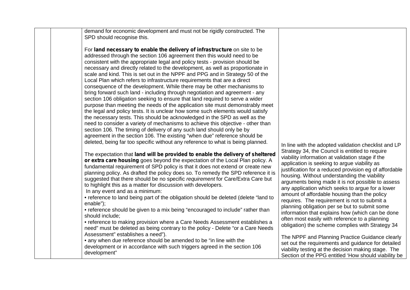| demand for economic development and must not be rigidly constructed. The<br>SPD should recognise this.                                                                                                                                                                                                                                                                                                                                                                                                                                                                                                                                                                                                                                                                                                                                                                                                                                                                                                                                                                                                                                                                                                                                                                                                    |                                                                                                                                                                                                                                                                                                                                                                                                                                                                                                                                                                                                                                                                                                                                      |
|-----------------------------------------------------------------------------------------------------------------------------------------------------------------------------------------------------------------------------------------------------------------------------------------------------------------------------------------------------------------------------------------------------------------------------------------------------------------------------------------------------------------------------------------------------------------------------------------------------------------------------------------------------------------------------------------------------------------------------------------------------------------------------------------------------------------------------------------------------------------------------------------------------------------------------------------------------------------------------------------------------------------------------------------------------------------------------------------------------------------------------------------------------------------------------------------------------------------------------------------------------------------------------------------------------------|--------------------------------------------------------------------------------------------------------------------------------------------------------------------------------------------------------------------------------------------------------------------------------------------------------------------------------------------------------------------------------------------------------------------------------------------------------------------------------------------------------------------------------------------------------------------------------------------------------------------------------------------------------------------------------------------------------------------------------------|
| For land necessary to enable the delivery of infrastructure on site to be<br>addressed through the section 106 agreement then this would need to be<br>consistent with the appropriate legal and policy tests - provision should be<br>necessary and directly related to the development, as well as proportionate in<br>scale and kind. This is set out in the NPPF and PPG and in Strategy 50 of the<br>Local Plan which refers to infrastructure requirements that are a direct<br>consequence of the development. While there may be other mechanisms to<br>bring forward such land - including through negotiation and agreement - any<br>section 106 obligation seeking to ensure that land required to serve a wider<br>purpose than meeting the needs of the application site must demonstrably meet<br>the legal and policy tests. It is unclear how some such elements would satisfy<br>the necessary tests. This should be acknowledged in the SPD as well as the<br>need to consider a variety of mechanisms to achieve this objective - other than<br>section 106. The timing of delivery of any such land should only be by<br>agreement in the section 106. The existing "when due" reference should be<br>deleted, being far too specific without any reference to what is being planned. | In line with the adopted validation checklist and LP                                                                                                                                                                                                                                                                                                                                                                                                                                                                                                                                                                                                                                                                                 |
| The expectation that land will be provided to enable the delivery of sheltered<br>or extra care housing goes beyond the expectation of the Local Plan policy. A<br>fundamental requirement of SPD policy is that it does not extend or create new<br>planning policy. As drafted the policy does so. To remedy the SPD reference it is<br>suggested that there should be no specific requirement for Care/Extra Care but<br>to highlight this as a matter for discussion with developers.<br>In any event and as a minimum:<br>• reference to land being part of the obligation should be deleted (delete "land to<br>enable");<br>• reference should be given to a mix being "encouraged to include" rather than<br>should include;<br>• reference to making provision where a Care Needs Assessment establishes a<br>need" must be deleted as being contrary to the policy - Delete "or a Care Needs"<br>Assessment" establishes a need").<br>• any when due reference should be amended to be "in line with the                                                                                                                                                                                                                                                                                        | Strategy 34, the Council is entitled to require<br>viability information at validation stage if the<br>application is seeking to argue viability as<br>justification for a reduced provision eg of affordable<br>housing. Without understanding the viability<br>arguments being made it is not possible to assess<br>any application which seeks to argue for a lower<br>amount of affordable housing than the policy<br>requires. The requirement is not to submit a<br>planning obligation per se but to submit some<br>information that explains how (which can be done<br>often most easily with reference to a planning<br>obligation) the scheme complies with Strategy 34<br>The NPPF and Planning Practice Guidance clearly |
| development or in accordance with such triggers agreed in the section 106<br>development"                                                                                                                                                                                                                                                                                                                                                                                                                                                                                                                                                                                                                                                                                                                                                                                                                                                                                                                                                                                                                                                                                                                                                                                                                 | set out the requirements and guidance for detailed<br>viability testing at the decision making stage. The<br>Section of the PPG entitled 'How should viability be                                                                                                                                                                                                                                                                                                                                                                                                                                                                                                                                                                    |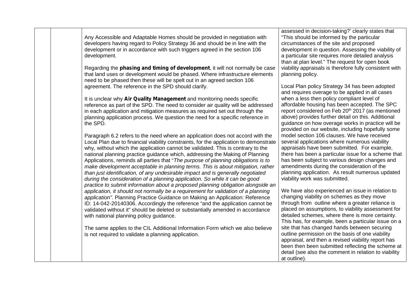| Any Accessible and Adaptable Homes should be provided in negotiation with<br>developers having regard to Policy Strategy 36 and should be in line with the<br>development or in accordance with such triggers agreed in the section 106<br>development.<br>Regarding the phasing and timing of development, it will not normally be case<br>that land uses or development would be phased. Where infrastructure elements<br>need to be phased then these will be spelt out in an agreed section 106<br>agreement. The reference in the SPD should clarify.<br>It is unclear why Air Quality Management and monitoring needs specific<br>reference as part of the SPD. The need to consider air quality will be addressed<br>in each application and mitigation measures as required set out through the<br>planning application process. We question the need for a specific reference in<br>the SPD.<br>Paragraph 6.2 refers to the need where an application does not accord with the<br>Local Plan due to financial viability constraints, for the application to demonstrate<br>why, without which the application cannot be validated. This is contrary to the<br>national planning practice guidance which, addressing the Making of Planning<br>Applications, reminds all parties that "The purpose of planning obligations is to<br>make development acceptable in planning terms. This is about mitigation, rather<br>than just identification, of any undesirable impact and is generally negotiated<br>during the consideration of a planning application. So while it can be good<br>practice to submit information about a proposed planning obligation alongside an<br>application, it should not normally be a requirement for validation of a planning<br>application". Planning Practice Guidance on Making an Application: Reference<br>ID: 14-042-20140306. Accordingly the reference "and the application cannot be<br>validated without it" should be deleted or substantially amended in accordance | assessed in decision-taking?' clearly states that<br>"This should be informed by the particular<br>circumstances of the site and proposed<br>development in question. Assessing the viability of<br>a particular site requires more detailed analysis<br>than at plan level." The request for open book<br>viability appraisals is therefore fully consistent with<br>planning policy.<br>Local Plan policy Strategy 34 has been adopted<br>and requires overage to be applied in all cases<br>when a less then policy compliant level of<br>affordable housing has been accepted. The SPC<br>report considered on Feb 20th 2017 (as mentioned<br>above) provides further detail on this. Additional<br>guidance on how overage works in practice will be<br>provided on our website, including hopefully some<br>model section 106 clauses. We have received<br>several applications where numerous viability<br>appraisals have been submitted. For example,<br>there has been a particular issue for a scheme that<br>has been subject to various design changes and<br>amendments during the consideration of the<br>planning application. As result numerous updated<br>viability work was submitted.<br>We have also experienced an issue in relation to<br>changing viability on schemes as they move<br>through from outline where a greater reliance is<br>placed on assumptions, to viability assessment for |
|---------------------------------------------------------------------------------------------------------------------------------------------------------------------------------------------------------------------------------------------------------------------------------------------------------------------------------------------------------------------------------------------------------------------------------------------------------------------------------------------------------------------------------------------------------------------------------------------------------------------------------------------------------------------------------------------------------------------------------------------------------------------------------------------------------------------------------------------------------------------------------------------------------------------------------------------------------------------------------------------------------------------------------------------------------------------------------------------------------------------------------------------------------------------------------------------------------------------------------------------------------------------------------------------------------------------------------------------------------------------------------------------------------------------------------------------------------------------------------------------------------------------------------------------------------------------------------------------------------------------------------------------------------------------------------------------------------------------------------------------------------------------------------------------------------------------------------------------------------------------------------------------------------------------------------------------------------------------------------------------------------------------------|------------------------------------------------------------------------------------------------------------------------------------------------------------------------------------------------------------------------------------------------------------------------------------------------------------------------------------------------------------------------------------------------------------------------------------------------------------------------------------------------------------------------------------------------------------------------------------------------------------------------------------------------------------------------------------------------------------------------------------------------------------------------------------------------------------------------------------------------------------------------------------------------------------------------------------------------------------------------------------------------------------------------------------------------------------------------------------------------------------------------------------------------------------------------------------------------------------------------------------------------------------------------------------------------------------------------------------------------------------------------------------------------------------------------|
| with national planning policy guidance.                                                                                                                                                                                                                                                                                                                                                                                                                                                                                                                                                                                                                                                                                                                                                                                                                                                                                                                                                                                                                                                                                                                                                                                                                                                                                                                                                                                                                                                                                                                                                                                                                                                                                                                                                                                                                                                                                                                                                                                   | detailed schemes, where there is more certainty.<br>This has, for example, been a particular issue on a                                                                                                                                                                                                                                                                                                                                                                                                                                                                                                                                                                                                                                                                                                                                                                                                                                                                                                                                                                                                                                                                                                                                                                                                                                                                                                                |
| The same applies to the CIL Additional Information Form which we also believe<br>is not required to validate a planning application.                                                                                                                                                                                                                                                                                                                                                                                                                                                                                                                                                                                                                                                                                                                                                                                                                                                                                                                                                                                                                                                                                                                                                                                                                                                                                                                                                                                                                                                                                                                                                                                                                                                                                                                                                                                                                                                                                      | site that has changed hands between securing<br>outline permission on the basis of one viability<br>appraisal, and then a revised viability report has<br>been then been submitted reflecting the scheme at<br>detail (see also the comment in relation to viability<br>at outline).                                                                                                                                                                                                                                                                                                                                                                                                                                                                                                                                                                                                                                                                                                                                                                                                                                                                                                                                                                                                                                                                                                                                   |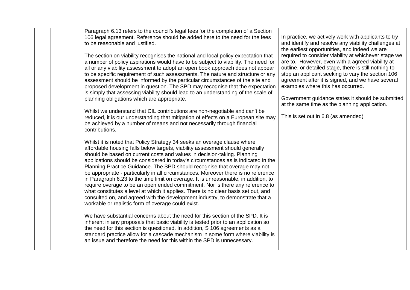| Paragraph 6.13 refers to the council's legal fees for the completion of a Section<br>106 legal agreement. Reference should be added here to the need for the fees<br>to be reasonable and justified.<br>The section on viability recognises the national and local policy expectation that<br>a number of policy aspirations would have to be subject to viability. The need for<br>all or any viability assessment to adopt an open book approach does not appear<br>to be specific requirement of such assessments. The nature and structure or any<br>assessment should be informed by the particular circumstances of the site and<br>proposed development in question. The SPD may recognise that the expectation<br>is simply that assessing viability should lead to an understanding of the scale of<br>planning obligations which are appropriate.<br>Whilst we understand that CIL contributions are non-negotiable and can't be<br>reduced, it is our understanding that mitigation of effects on a European site may<br>be achieved by a number of means and not necessarily through financial                                                                                                                                                                                                                                 | In practice, we actively work with applicants to try<br>and identify and resolve any viability challenges at<br>the earliest opportunities, and indeed we are<br>required to consider viability at whichever stage we<br>are to. However, even with a agreed viability at<br>outline, or detailed stage, there is still nothing to<br>stop an applicant seeking to vary the section 106<br>agreement after it is signed, and we have several<br>examples where this has occurred.<br>Government guidance states it should be submitted<br>at the same time as the planning application.<br>This is set out in 6.8 (as amended) |
|--------------------------------------------------------------------------------------------------------------------------------------------------------------------------------------------------------------------------------------------------------------------------------------------------------------------------------------------------------------------------------------------------------------------------------------------------------------------------------------------------------------------------------------------------------------------------------------------------------------------------------------------------------------------------------------------------------------------------------------------------------------------------------------------------------------------------------------------------------------------------------------------------------------------------------------------------------------------------------------------------------------------------------------------------------------------------------------------------------------------------------------------------------------------------------------------------------------------------------------------------------------------------------------------------------------------------------------------|--------------------------------------------------------------------------------------------------------------------------------------------------------------------------------------------------------------------------------------------------------------------------------------------------------------------------------------------------------------------------------------------------------------------------------------------------------------------------------------------------------------------------------------------------------------------------------------------------------------------------------|
| contributions.<br>Whilst it is noted that Policy Strategy 34 seeks an overage clause where<br>affordable housing falls below targets, viability assessment should generally<br>should be based on current costs and values in decision-taking. Planning<br>applications should be considered in today's circumstances as is indicated in the<br>Planning Practice Guidance. The SPD should recognise that overage may not<br>be appropriate - particularly in all circumstances. Moreover there is no reference<br>in Paragraph 6.23 to the time limit on overage. It is unreasonable, in addition, to<br>require overage to be an open ended commitment. Nor is there any reference to<br>what constitutes a level at which it applies. There is no clear basis set out, and<br>consulted on, and agreed with the development industry, to demonstrate that a<br>workable or realistic form of overage could exist.<br>We have substantial concerns about the need for this section of the SPD. It is<br>inherent in any proposals that basic viability is tested prior to an application so<br>the need for this section is questioned. In addition, S 106 agreements as a<br>standard practice allow for a cascade mechanism in some form where viability is<br>an issue and therefore the need for this within the SPD is unnecessary. |                                                                                                                                                                                                                                                                                                                                                                                                                                                                                                                                                                                                                                |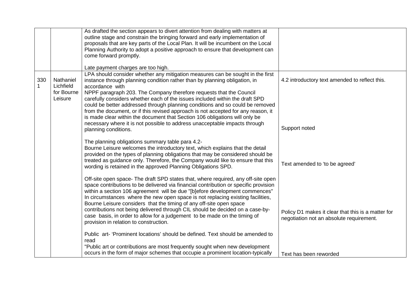|          |                                                 | As drafted the section appears to divert attention from dealing with matters at<br>outline stage and constrain the bringing forward and early implementation of<br>proposals that are key parts of the Local Plan. It will be incumbent on the Local<br>Planning Authority to adopt a positive approach to ensure that development can<br>come forward promptly.<br>Late payment charges are too high.                                                                                                                                                                                                                     |                                                                                                |
|----------|-------------------------------------------------|----------------------------------------------------------------------------------------------------------------------------------------------------------------------------------------------------------------------------------------------------------------------------------------------------------------------------------------------------------------------------------------------------------------------------------------------------------------------------------------------------------------------------------------------------------------------------------------------------------------------------|------------------------------------------------------------------------------------------------|
| 330<br>1 | Nathaniel<br>Lichfield<br>for Bourne<br>Leisure | LPA should consider whether any mitigation measures can be sought in the first<br>instance through planning condition rather than by planning obligation, in<br>accordance with<br>NPPF paragraph 203. The Company therefore requests that the Council<br>carefully considers whether each of the issues included within the draft SPD<br>could be better addressed through planning conditions and so could be removed<br>from the document, or if this revised approach is not accepted for any reason, it<br>is made clear within the document that Section 106 obligations will only be                                | 4.2 introductory text amended to reflect this.                                                 |
|          |                                                 | necessary where it is not possible to address unacceptable impacts through<br>planning conditions.<br>The planning obligations summary table para 4.2-<br>Bourne Leisure welcomes the introductory text, which explains that the detail<br>provided on the types of planning obligations that may be considered should be<br>treated as guidance only. Therefore, the Company would like to ensure that this<br>wording is retained in the approved Planning Obligations SPD.                                                                                                                                              | Support noted<br>Text amended to 'to be agreed'                                                |
|          |                                                 | Off-site open space- The draft SPD states that, where required, any off-site open<br>space contributions to be delivered via financial contribution or specific provision<br>within a section 106 agreement will be due "[b]efore development commences"<br>In circumstances where the new open space is not replacing existing facilities,<br>Bourne Leisure considers that the timing of any off-site open space<br>contributions not being delivered through CIL should be decided on a case-by-<br>case basis, in order to allow for a judgement to be made on the timing of<br>provision in relation to construction. | Policy D1 makes it clear that this is a matter for<br>negotiation not an absolute requirement. |
|          |                                                 | Public art- 'Prominent locations' should be defined. Text should be amended to<br>read<br>"Public art or contributions are most frequently sought when new development<br>occurs in the form of major schemes that occupie a prominent location-typically                                                                                                                                                                                                                                                                                                                                                                  | Text has been reworded                                                                         |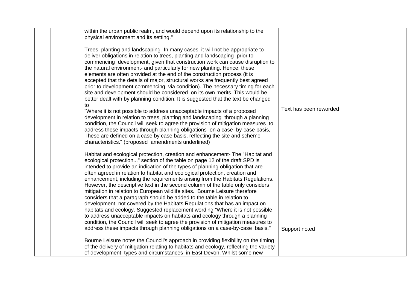| within the urban public realm, and would depend upon its relationship to the<br>physical environment and its setting."                                                                                                                                                                                                                                                                                                                                                                                                                                                                                                                                                                                                                                                                                                                                                                                                                                                                                                                                                                                                                                                                                                  |                        |
|-------------------------------------------------------------------------------------------------------------------------------------------------------------------------------------------------------------------------------------------------------------------------------------------------------------------------------------------------------------------------------------------------------------------------------------------------------------------------------------------------------------------------------------------------------------------------------------------------------------------------------------------------------------------------------------------------------------------------------------------------------------------------------------------------------------------------------------------------------------------------------------------------------------------------------------------------------------------------------------------------------------------------------------------------------------------------------------------------------------------------------------------------------------------------------------------------------------------------|------------------------|
| Trees, planting and landscaping- In many cases, it will not be appropriate to<br>deliver obligations in relation to trees, planting and landscaping prior to<br>commencing development, given that construction work can cause disruption to<br>the natural environment- and particularly for new planting. Hence, these<br>elements are often provided at the end of the construction process (it is<br>accepted that the details of major, structural works are frequently best agreed<br>prior to development commencing, via condition). The necessary timing for each<br>site and development should be considered on its own merits. This would be<br>better dealt with by planning condition. It is suggested that the text be changed<br>to<br>"Where it is not possible to address unacceptable impacts of a proposed<br>development in relation to trees, planting and landscaping through a planning<br>condition, the Council will seek to agree the provision of mitigation measures to<br>address these impacts through planning obligations on a case- by-case basis,<br>These are defined on a case by case basis, reflecting the site and scheme<br>characteristics." (proposed amendments underlined) | Text has been reworded |
| Habitat and ecological protection, creation and enhancement- The "Habitat and<br>ecological protection" section of the table on page 12 of the draft SPD is<br>intended to provide an indication of the types of planning obligation that are<br>often agreed in relation to habitat and ecological protection, creation and<br>enhancement, including the requirements arising from the Habitats Regulations.<br>However, the descriptive text in the second column of the table only considers<br>mitigation in relation to European wildlife sites. Bourne Leisure therefore<br>considers that a paragraph should be added to the table in relation to<br>development not covered by the Habitats Regulations that has an impact on<br>habitats and ecology. Suggested replacement wording "Where it is not possible<br>to address unacceptable impacts on habitats and ecology through a planning<br>condition, the Council will seek to agree the provision of mitigation measures to<br>address these impacts through planning obligations on a case-by-case basis."                                                                                                                                              | Support noted          |
| Bourne Leisure notes the Council's approach in providing flexibility on the timing<br>of the delivery of mitigation relating to habitats and ecology, reflecting the variety<br>of development types and circumstances in East Devon. Whilst some new                                                                                                                                                                                                                                                                                                                                                                                                                                                                                                                                                                                                                                                                                                                                                                                                                                                                                                                                                                   |                        |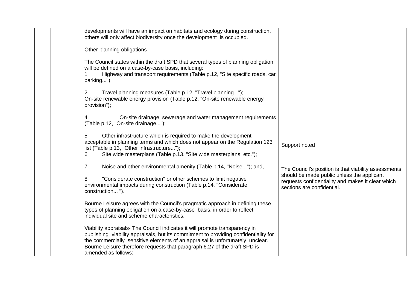| developments will have an impact on habitats and ecology during construction,<br>others will only affect biodiversity once the development is occupied.                                                                                                                                                                                                  |                                                                                                                               |
|----------------------------------------------------------------------------------------------------------------------------------------------------------------------------------------------------------------------------------------------------------------------------------------------------------------------------------------------------------|-------------------------------------------------------------------------------------------------------------------------------|
| Other planning obligations                                                                                                                                                                                                                                                                                                                               |                                                                                                                               |
| The Council states within the draft SPD that several types of planning obligation<br>will be defined on a case-by-case basis, including:<br>Highway and transport requirements (Table p.12, "Site specific roads, car<br>parking");                                                                                                                      |                                                                                                                               |
| Travel planning measures (Table p.12, "Travel planning");<br>$\overline{2}$<br>On-site renewable energy provision (Table p.12, "On-site renewable energy<br>provision");                                                                                                                                                                                 |                                                                                                                               |
| On-site drainage, sewerage and water management requirements<br>4<br>(Table p.12, "On-site drainage");                                                                                                                                                                                                                                                   |                                                                                                                               |
| 5<br>Other infrastructure which is required to make the development<br>acceptable in planning terms and which does not appear on the Regulation 123<br>list (Table p.13, "Other infrastructure");<br>Site wide masterplans (Table p.13, "Site wide masterplans, etc.");<br>6                                                                             | Support noted                                                                                                                 |
| $\overline{7}$<br>Noise and other environmental amenity (Table p.14, "Noise"); and,                                                                                                                                                                                                                                                                      | The Council's position is that viability assessments                                                                          |
| "Considerate construction" or other schemes to limit negative<br>8<br>environmental impacts during construction (Table p.14, "Considerate<br>construction").                                                                                                                                                                                             | should be made public unless the applicant<br>requests confidentiality and makes it clear which<br>sections are confidential. |
| Bourne Leisure agrees with the Council's pragmatic approach in defining these<br>types of planning obligation on a case-by-case basis, in order to reflect<br>individual site and scheme characteristics.                                                                                                                                                |                                                                                                                               |
| Viability appraisals- The Council indicates it will promote transparency in<br>publishing viability appraisals, but its commitment to providing confidentiality for<br>the commercially sensitive elements of an appraisal is unfortunately unclear.<br>Bourne Leisure therefore requests that paragraph 6.27 of the draft SPD is<br>amended as follows: |                                                                                                                               |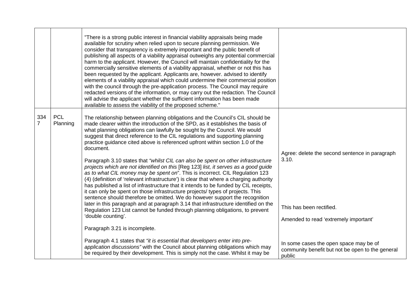|                       |                        | "There is a strong public interest in financial viability appraisals being made<br>available for scrutiny when relied upon to secure planning permission. We<br>consider that transparency is extremely important and the public benefit of<br>publishing all aspects of a viability appraisal outweighs any potential commercial<br>harm to the applicant. However, the Council will maintain confidentiality for the<br>commercially sensitive elements of a viability appraisal, whether or not this has<br>been requested by the applicant. Applicants are, however. advised to identify<br>elements of a viability appraisal which could undermine their commercial position<br>with the council through the pre-application process. The Council may require<br>redacted versions of the information, or may carry out the redaction. The Council<br>will advise the applicant whether the sufficient information has been made<br>available to assess the viability of the proposed scheme."                                                                                                                                                                                                                                                                      |                                                                                                                              |
|-----------------------|------------------------|--------------------------------------------------------------------------------------------------------------------------------------------------------------------------------------------------------------------------------------------------------------------------------------------------------------------------------------------------------------------------------------------------------------------------------------------------------------------------------------------------------------------------------------------------------------------------------------------------------------------------------------------------------------------------------------------------------------------------------------------------------------------------------------------------------------------------------------------------------------------------------------------------------------------------------------------------------------------------------------------------------------------------------------------------------------------------------------------------------------------------------------------------------------------------------------------------------------------------------------------------------------------------|------------------------------------------------------------------------------------------------------------------------------|
| 334<br>$\overline{7}$ | <b>PCL</b><br>Planning | The relationship between planning obligations and the Council's CIL should be<br>made clearer within the introduction of the SPD, as it establishes the basis of<br>what planning obligations can lawfully be sought by the Council. We would<br>suggest that direct reference to the CIL regulations and supporting planning<br>practice guidance cited above is referenced upfront within section 1.0 of the<br>document.<br>Paragraph 3.10 states that "whilst CIL can also be spent on other infrastructure<br>projects which are not identified on this [Reg 123] list, it serves as a good guide<br>as to what CIL money may be spent on". This is incorrect. CIL Regulation 123<br>(4) (definition of 'relevant infrastructure') is clear that where a charging authority<br>has published a list of infrastructure that it intends to be funded by CIL receipts,<br>it can only be spent on those infrastructure projects/ types of projects. This<br>sentence should therefore be omitted. We do however support the recognition<br>later in this paragraph and at paragraph 3.14 that infrastructure identified on the<br>Regulation 123 List cannot be funded through planning obligations, to prevent<br>'double counting'.<br>Paragraph 3.21 is incomplete. | Agree: delete the second sentence in paragraph<br>3.10.<br>This has been rectified.<br>Amended to read 'extremely important' |
|                       |                        | Paragraph 4.1 states that "it is essential that developers enter into pre-<br>application discussions" with the Council about planning obligations which may<br>be required by their development. This is simply not the case. Whilst it may be                                                                                                                                                                                                                                                                                                                                                                                                                                                                                                                                                                                                                                                                                                                                                                                                                                                                                                                                                                                                                          | In some cases the open space may be of<br>community benefit but not be open to the general<br>public                         |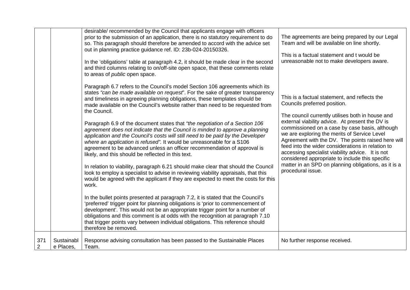|                       |                         | desirable/ recommended by the Council that applicants engage with officers<br>prior to the submission of an application, there is no statutory requirement to do<br>so. This paragraph should therefore be amended to accord with the advice set<br>out in planning practice guidance ref. ID: 23b-024-20150326.<br>In the 'obligations' table at paragraph 4.2, it should be made clear in the second<br>and third columns relating to on/off-site open space, that these comments relate<br>to areas of <i>public</i> open space.                                                                                                                                                                                                                                                                                                                                                                                                                                                                                                                                                                                                                                                                                                                                                                                                                                                                                                                                                                                                        | The agreements are being prepared by our Legal<br>Team and will be available on line shortly.<br>This is a factual statement and t would be<br>unreasonable not to make developers aware.                                                                                                                                                                                                                                                                                                                                                                                             |
|-----------------------|-------------------------|--------------------------------------------------------------------------------------------------------------------------------------------------------------------------------------------------------------------------------------------------------------------------------------------------------------------------------------------------------------------------------------------------------------------------------------------------------------------------------------------------------------------------------------------------------------------------------------------------------------------------------------------------------------------------------------------------------------------------------------------------------------------------------------------------------------------------------------------------------------------------------------------------------------------------------------------------------------------------------------------------------------------------------------------------------------------------------------------------------------------------------------------------------------------------------------------------------------------------------------------------------------------------------------------------------------------------------------------------------------------------------------------------------------------------------------------------------------------------------------------------------------------------------------------|---------------------------------------------------------------------------------------------------------------------------------------------------------------------------------------------------------------------------------------------------------------------------------------------------------------------------------------------------------------------------------------------------------------------------------------------------------------------------------------------------------------------------------------------------------------------------------------|
|                       |                         | Paragraph 6.7 refers to the Council's model Section 106 agreements which its<br>states "can be made available on request". For the sake of greater transparency<br>and timeliness in agreeing planning obligations, these templates should be<br>made available on the Council's website rather than need to be requested from<br>the Council.<br>Paragraph 6.9 of the document states that "the negotiation of a Section 106<br>agreement does not indicate that the Council is minded to approve a planning<br>application and the Council's costs will still need to be paid by the Developer<br>where an application is refused". It would be unreasonable for a S106<br>agreement to be advanced unless an officer recommendation of approval is<br>likely, and this should be reflected in this text.<br>In relation to viability, paragraph 6.21 should make clear that should the Council<br>look to employ a specialist to advise in reviewing viability appraisals, that this<br>would be agreed with the applicant if they are expected to meet the costs for this<br>work.<br>In the bullet points presented at paragraph 7.2, it is stated that the Council's<br>'preferred' trigger point for planning obligations is 'prior to commencement of<br>development'. This would not be an appropriate trigger point for a number of<br>obligations and this comment is at odds with the recognition at paragraph 7.10<br>that trigger points vary between individual obligations. This reference should<br>therefore be removed. | This is a factual statement, and reflects the<br>Councils preferred position.<br>The council currently utilises both in house and<br>external viability advice. At present the DV is<br>commissioned on a case by case basis, although<br>we are exploring the merits of Service Level<br>Agreement with the DV. The points raised here will<br>feed into the wider considerations in relation to<br>accessing specialist viability advice. It is not<br>considered appropriate to include this specific<br>matter in an SPD on planning obligations, as it is a<br>procedural issue. |
| 371<br>$\overline{2}$ | Sustainabl<br>e Places, | Response advising consultation has been passed to the Sustainable Places<br>Team.                                                                                                                                                                                                                                                                                                                                                                                                                                                                                                                                                                                                                                                                                                                                                                                                                                                                                                                                                                                                                                                                                                                                                                                                                                                                                                                                                                                                                                                          | No further response received.                                                                                                                                                                                                                                                                                                                                                                                                                                                                                                                                                         |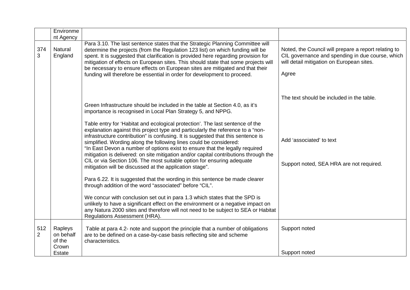|                       | Environme                                         |                                                                                                                                                                                                                                                                                                                                                                                                                                                                                                                                                                                                                                                    |                                                                                                                                                                |
|-----------------------|---------------------------------------------------|----------------------------------------------------------------------------------------------------------------------------------------------------------------------------------------------------------------------------------------------------------------------------------------------------------------------------------------------------------------------------------------------------------------------------------------------------------------------------------------------------------------------------------------------------------------------------------------------------------------------------------------------------|----------------------------------------------------------------------------------------------------------------------------------------------------------------|
| 374<br>3              | nt Agency<br>Natural<br>England                   | Para 3.10. The last sentence states that the Strategic Planning Committee will<br>determine the projects (from the Regulation 123 list) on which funding will be<br>spent. It is suggested that clarification is provided here regarding provision for<br>mitigation of effects on European sites. This should state that some projects will<br>be necessary to ensure effects on European sites are mitigated and that their<br>funding will therefore be essential in order for development to proceed.                                                                                                                                          | Noted, the Council will prepare a report relating to<br>CIL governance and spending in due course, which<br>will detail mitigation on European sites.<br>Agree |
|                       |                                                   | Green Infrastructure should be included in the table at Section 4.0, as it's<br>importance is recognised in Local Plan Strategy 5, and NPPG.<br>Table entry for 'Habitat and ecological protection'. The last sentence of the<br>explanation against this project type and particularly the reference to a "non-<br>infrastructure contribution" is confusing. It is suggested that this sentence is<br>simplified. Wording along the following lines could be considered:<br>"In East Devon a number of options exist to ensure that the legally required<br>mitigation is delivered: on site mitigation and/or capital contributions through the | The text should be included in the table.<br>Add 'associated' to text                                                                                          |
|                       |                                                   | CIL or via Section 106. The most suitable option for ensuring adequate<br>mitigation will be discussed at the application stage".<br>Para 6.22. It is suggested that the wording in this sentence be made clearer<br>through addition of the word "associated" before "CIL".<br>We concur with conclusion set out in para 1.3 which states that the SPD is<br>unlikely to have a significant effect on the environment or a negative impact on<br>any Natura 2000 sites and therefore will not need to be subject to SEA or Habitat<br>Regulations Assessment (HRA).                                                                               | Support noted, SEA HRA are not required.                                                                                                                       |
| 512<br>$\overline{2}$ | Rapleys<br>on behalf<br>of the<br>Crown<br>Estate | Table at para 4.2- note and support the principle that a number of obligations<br>are to be defined on a case-by-case basis reflecting site and scheme<br>characteristics.                                                                                                                                                                                                                                                                                                                                                                                                                                                                         | Support noted<br>Support noted                                                                                                                                 |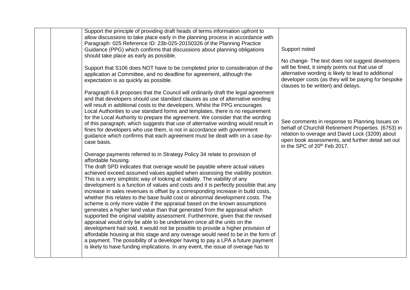| Support the principle of providing draft heads of terms information upfront to<br>allow discussions to take place early in the planning process in accordance with<br>Paragraph: 025 Reference ID: 23b-025-20150326 of the Planning Practice                                                                                                                                                                                                                                                                                                                                                                                                                                                                                                                                                                                                                                                                                                                                                                                                                                                                                                                                                                                                                                        |                                                                                                                                                                                                                                                           |
|-------------------------------------------------------------------------------------------------------------------------------------------------------------------------------------------------------------------------------------------------------------------------------------------------------------------------------------------------------------------------------------------------------------------------------------------------------------------------------------------------------------------------------------------------------------------------------------------------------------------------------------------------------------------------------------------------------------------------------------------------------------------------------------------------------------------------------------------------------------------------------------------------------------------------------------------------------------------------------------------------------------------------------------------------------------------------------------------------------------------------------------------------------------------------------------------------------------------------------------------------------------------------------------|-----------------------------------------------------------------------------------------------------------------------------------------------------------------------------------------------------------------------------------------------------------|
| Guidance (PPG) which confirms that discussions about planning obligations<br>should take place as early as possible.                                                                                                                                                                                                                                                                                                                                                                                                                                                                                                                                                                                                                                                                                                                                                                                                                                                                                                                                                                                                                                                                                                                                                                | Support noted                                                                                                                                                                                                                                             |
| Support that S106 does NOT have to be completed prior to consideration of the<br>application at Committee, and no deadline for agreement, although the<br>expectation is as quickly as possible.                                                                                                                                                                                                                                                                                                                                                                                                                                                                                                                                                                                                                                                                                                                                                                                                                                                                                                                                                                                                                                                                                    | No change- The text does not suggest developers<br>will be fined, it simply points out that use of<br>alternative wording is likely to lead to additional<br>developer costs (as they will be paying for bespoke<br>clauses to be written) and delays.    |
| Paragraph 6.8 proposes that the Council will ordinarily draft the legal agreement<br>and that developers should use standard clauses as use of alternative wording<br>will result in additional costs to the developers. Whilst the PPG encourages<br>Local Authorities to use standard forms and templates, there is no requirement<br>for the Local Authority to prepare the agreement. We consider that the wording<br>of this paragraph, which suggests that use of alternative wording would result in<br>fines for developers who use them, is not in accordance with government<br>guidance which confirms that each agreement must be dealt with on a case-by-<br>case basis.                                                                                                                                                                                                                                                                                                                                                                                                                                                                                                                                                                                               | See comments in response to Planning Issues on<br>behalf of Churchill Retirement Properties (6753) in<br>relation to overage and David Lock (3209) about<br>open book assessments, and further detail set out<br>in the SPC of 20 <sup>th</sup> Feb 2017. |
| Overage payments referred to in Strategy Policy 34 relate to provision of<br>affordable housing.<br>The draft SPD indicates that overage would be payable where actual values<br>achieved exceed assumed values applied when assessing the viability position.<br>This is a very simplistic way of looking at viability. The viability of any<br>development is a function of values and costs and it is perfectly possible that any<br>increase in sales revenues is offset by a corresponding increase in build costs,<br>whether this relates to the base build cost or abnormal development costs. The<br>scheme is only more viable if the appraisal based on the known assumptions<br>generates a higher land value than that generated from the appraisal which<br>supported the original viability assessment. Furthermore, given that the revised<br>appraisal would only be able to be undertaken once all the units on the<br>development had sold, it would not be possible to provide a higher provision of<br>affordable housing at this stage and any overage would need to be in the form of<br>a payment. The possibility of a developer having to pay a LPA a future payment<br>is likely to have funding implications. In any event, the issue of overage has to |                                                                                                                                                                                                                                                           |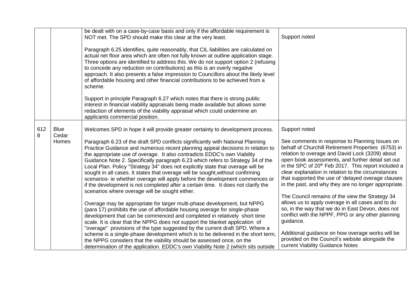|          |                      | be dealt with on a case-by-case basis and only if the affordable requirement is<br>NOT met. The SPD should make this clear at the very least.                                                                                                                                                                                                                                                                                                                                                                                                                                                                                                                                                                               | Support noted                                                                                                                                                                                                                                                                                                                                                                                                                                        |
|----------|----------------------|-----------------------------------------------------------------------------------------------------------------------------------------------------------------------------------------------------------------------------------------------------------------------------------------------------------------------------------------------------------------------------------------------------------------------------------------------------------------------------------------------------------------------------------------------------------------------------------------------------------------------------------------------------------------------------------------------------------------------------|------------------------------------------------------------------------------------------------------------------------------------------------------------------------------------------------------------------------------------------------------------------------------------------------------------------------------------------------------------------------------------------------------------------------------------------------------|
|          |                      | Paragraph 6.25 identifies, quite reasonably, that CIL liabilities are calculated on<br>actual net floor area which are often not fully known at outline application stage.<br>Three options are identified to address this. We do not support option 2 (refusing<br>to concede any reduction on contributions) as this is an overly negative<br>approach. It also presents a false impression to Councillors about the likely level<br>of affordable housing and other financial contributions to be achieved from a<br>scheme.                                                                                                                                                                                             |                                                                                                                                                                                                                                                                                                                                                                                                                                                      |
|          |                      | Support in principle Paragraph 6.27 which notes that there is strong public<br>interest in financial viability appraisals being made available but allows some<br>redaction of elements of the viability appraisal which could undermine an<br>applicants commercial position.                                                                                                                                                                                                                                                                                                                                                                                                                                              |                                                                                                                                                                                                                                                                                                                                                                                                                                                      |
| 612<br>8 | <b>Blue</b><br>Cedar | Welcomes SPD in hope it will provide greater certainty to development process.                                                                                                                                                                                                                                                                                                                                                                                                                                                                                                                                                                                                                                              | Support noted                                                                                                                                                                                                                                                                                                                                                                                                                                        |
|          | Homes                | Paragraph 6.23 of the draft SPD conflicts significantly with National Planning<br>Practice Guidance and numerous recent planning appeal decisions in relation to<br>the appropriate use of overage. It also contradicts EDDC's own Viability<br>Guidance Note 2. Specifically paragraph 6.23 which refers to Strategy 34 of the<br>Local Plan. Policy "Strategy 34" does not explicitly state that overage will be<br>sought in all cases. It states that overage will be sought, without confirming<br>scenarios- ie whether overage will apply before the development commences or<br>if the development is not completed after a certain time. It does not clarify the<br>scenarios where overage will be sought either. | See comments in response to Planning Issues on<br>behalf of Churchill Retirement Properties (6753) in<br>relation to overage and David Lock (3209) about<br>open book assessments, and further detail set out<br>in the SPC of 20 <sup>th</sup> Feb 2017. This report included a<br>clear explanation in relation to the circumstances<br>that supported the use of 'delayed overage clauses<br>in the past, and why they are no longer appropriate. |
|          |                      | Overage may be appropriate for larger multi-phase development, but NPPG<br>(para 17) prohibits the use of affordable housing overage for single-phase<br>development that can be commenced and completed in relatively short time<br>scale. It is clear that the NPPG does not support the blanket application of<br>"overage" provisions of the type suggested by the current draft SPD. Where a<br>scheme is a single-phase development which is to be delivered in the short term,<br>the NPPG considers that the viability should be assessed once, on the<br>determination of the application. EDDC's own Viability Note 2 (which sits outside                                                                         | The Council remains of the view the Strategy 34<br>allows us to apply overage in all cases and to do<br>so, in the way that we do in East Devon, does not<br>conflict with the NPPF, PPG or any other planning<br>guidance.<br>Additional guidance on how overage works will be<br>provided on the Council's website alongside the<br>current Viability Guidance Notes                                                                               |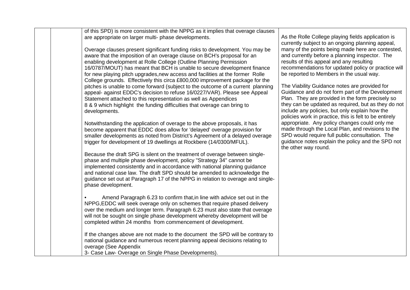| of this SPD) is more consistent with the NPPG as it implies that overage clauses<br>are appropriate on larger multi- phase developments.<br>Overage clauses present significant funding risks to development. You may be<br>aware that the imposition of an overage clause on BCH's proposal for an<br>enabling development at Rolle College (Outline Planning Permission<br>16/0787/MOUT) has meant that BCH is unable to secure development finance<br>for new playing pitch upgrades, new access and facilities at the former Rolle<br>College grounds. Effectively this circa £800,000 improvement package for the<br>pitches is unable to come forward (subject to the outcome of a current planning<br>appeal- against EDDC's decision to refuse 16/0227/VAR). Please see Appeal<br>Statement attached to this representation as well as Appendices<br>8 & 9 which highlight the funding difficulties that overage can bring to<br>developments.<br>Notwithstanding the application of overage to the above proposals, it has<br>become apparent that EDDC does allow for 'delayed' overage provision for<br>smaller developments as noted from District's Agreement of a delayed overage<br>trigger for development of 19 dwellings at Rockbere (14/0300/MFUL).<br>Because the draft SPG is silent on the treatment of overage between single-<br>phase and multiple phase development, policy "Strategy 34" cannot be<br>implemented consistently and in accordance with national planning guidance<br>and national case law. The draft SPD should be amended to acknowledge the<br>guidance set out at Paragraph 17 of the NPPG in relation to overage and single-<br>phase development.<br>Amend Paragraph 6.23 to confirm that, in line with advice set out in the<br>NPPG, EDDC will seek overage only on schemes that require phased delivery<br>over the medium and longer term. Paragraph 6.23 must also state that overage<br>will not be sought on single phase development whereby development will be<br>completed within 24 months from commencement of development.<br>If the changes above are not made to the document the SPD will be contrary to<br>national guidance and numerous recent planning appeal decisions relating to<br>overage (See Appendix<br>3- Case Law- Overage on Single Phase Developments). | As the Rolle College playing fields application is<br>currently subject to an ongoing planning appeal,<br>many of the points being made here are contested,<br>and currently before a planning inspector. The<br>results of this appeal and any resulting<br>recommendations for updated policy or practice will<br>be reported to Members in the usual way.<br>The Viability Guidance notes are provided for<br>Guidance and do not form part of the Development<br>Plan. They are provided in the form precisely so<br>they can be updated as required, but as they do not<br>include any policies, but only explain how the<br>policies work in practice, this is felt to be entirely<br>appropriate. Any policy changes could only me<br>made through the Local Plan, and revisions to the<br>SPD would require full public consultation. The<br>guidance notes explain the policy and the SPD not<br>the other way round. |
|------------------------------------------------------------------------------------------------------------------------------------------------------------------------------------------------------------------------------------------------------------------------------------------------------------------------------------------------------------------------------------------------------------------------------------------------------------------------------------------------------------------------------------------------------------------------------------------------------------------------------------------------------------------------------------------------------------------------------------------------------------------------------------------------------------------------------------------------------------------------------------------------------------------------------------------------------------------------------------------------------------------------------------------------------------------------------------------------------------------------------------------------------------------------------------------------------------------------------------------------------------------------------------------------------------------------------------------------------------------------------------------------------------------------------------------------------------------------------------------------------------------------------------------------------------------------------------------------------------------------------------------------------------------------------------------------------------------------------------------------------------------------------------------------------------------------------------------------------------------------------------------------------------------------------------------------------------------------------------------------------------------------------------------------------------------------------------------------------------------------------------------------------------------------------------------------------------------------------------------------------------------------------------------------------------------------------------------|--------------------------------------------------------------------------------------------------------------------------------------------------------------------------------------------------------------------------------------------------------------------------------------------------------------------------------------------------------------------------------------------------------------------------------------------------------------------------------------------------------------------------------------------------------------------------------------------------------------------------------------------------------------------------------------------------------------------------------------------------------------------------------------------------------------------------------------------------------------------------------------------------------------------------------|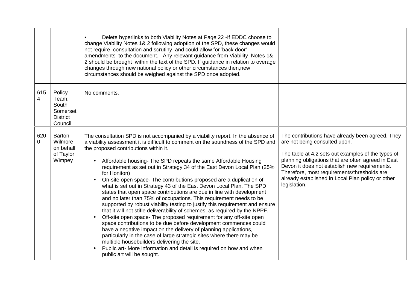|                 |                                                                    | Delete hyperlinks to both Viability Notes at Page 22 - If EDDC choose to<br>change Viability Notes 1& 2 following adoption of the SPD, these changes would<br>not require consultation and scrutiny and could allow for 'back door'<br>amendments to the document. Any relevant guidance from Viability Notes 1&<br>2 should be brought within the text of the SPD. If guidance in relation to overage<br>changes through new national policy or other circumstances then, new<br>circumstances should be weighed against the SPD once adopted.                                                                                                                                                                                                                                                                                                                                                                                                                                                                                                                                                                                                                                                                                                                                      |                                                                                                                                                                                                                                                                                                                                                                    |
|-----------------|--------------------------------------------------------------------|--------------------------------------------------------------------------------------------------------------------------------------------------------------------------------------------------------------------------------------------------------------------------------------------------------------------------------------------------------------------------------------------------------------------------------------------------------------------------------------------------------------------------------------------------------------------------------------------------------------------------------------------------------------------------------------------------------------------------------------------------------------------------------------------------------------------------------------------------------------------------------------------------------------------------------------------------------------------------------------------------------------------------------------------------------------------------------------------------------------------------------------------------------------------------------------------------------------------------------------------------------------------------------------|--------------------------------------------------------------------------------------------------------------------------------------------------------------------------------------------------------------------------------------------------------------------------------------------------------------------------------------------------------------------|
| 615<br>4        | Policy<br>Team,<br>South<br>Somerset<br><b>District</b><br>Council | No comments.                                                                                                                                                                                                                                                                                                                                                                                                                                                                                                                                                                                                                                                                                                                                                                                                                                                                                                                                                                                                                                                                                                                                                                                                                                                                         |                                                                                                                                                                                                                                                                                                                                                                    |
| 620<br>$\Omega$ | Barton<br>Wilmore<br>on behalf<br>of Taylor<br>Wimpey              | The consultation SPD is not accompanied by a viability report. In the absence of<br>a viability assessment it is difficult to comment on the soundness of the SPD and<br>the proposed contributions within it.<br>Affordable housing- The SPD repeats the same Affordable Housing<br>requirement as set out in Strategy 34 of the East Devon Local Plan (25%<br>for Honiton)<br>On-site open space- The contributions proposed are a duplication of<br>what is set out in Strategy 43 of the East Devon Local Plan. The SPD<br>states that open space contributions are due in line with development<br>and no later than 75% of occupations. This requirement needs to be<br>supported by robust viability testing to justify this requirement and ensure<br>that it will not stifle deliverability of schemes, as required by the NPPF.<br>Off-site open space- The proposed requirement for any off-site open<br>space contributions to be due before development commences could<br>have a negative impact on the delivery of planning applications,<br>particularly in the case of large strategic sites where there may be<br>multiple housebuilders delivering the site.<br>Public art- More information and detail is required on how and when<br>public art will be sought. | The contributions have already been agreed. They<br>are not being consulted upon.<br>The table at 4.2 sets out examples of the types of<br>planning obligations that are often agreed in East<br>Devon it does not establish new requirements.<br>Therefore, most requirements/thresholds are<br>already established in Local Plan policy or other<br>legislation. |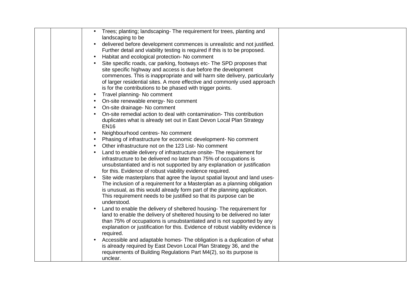| Trees; planting; landscaping- The requirement for trees, planting and                                                                                |
|------------------------------------------------------------------------------------------------------------------------------------------------------|
| landscaping to be                                                                                                                                    |
| delivered before development commences is unrealistic and not justified.                                                                             |
| Further detail and viability testing is required if this is to be proposed.                                                                          |
| Habitat and ecological protection- No comment<br>$\bullet$                                                                                           |
| Site specific roads, car parking, footways etc- The SPD proposes that                                                                                |
| site specific highway and access is due before the development                                                                                       |
| commences. This is inappropriate and will harm site delivery, particularly                                                                           |
| of larger residential sites. A more effective and commonly used approach                                                                             |
| is for the contributions to be phased with trigger points.                                                                                           |
| Travel planning- No comment<br>$\bullet$                                                                                                             |
| On-site renewable energy- No comment<br>$\bullet$                                                                                                    |
| On-site drainage- No comment<br>$\bullet$                                                                                                            |
| On-site remedial action to deal with contamination- This contribution                                                                                |
| duplicates what is already set out in East Devon Local Plan Strategy                                                                                 |
| <b>EN16</b>                                                                                                                                          |
| Neighbourhood centres- No comment<br>$\bullet$                                                                                                       |
| Phasing of infrastructure for economic development- No comment<br>$\bullet$                                                                          |
| Other infrastructure not on the 123 List-No comment                                                                                                  |
| Land to enable delivery of infrastructure onsite- The requirement for                                                                                |
| infrastructure to be delivered no later than 75% of occupations is                                                                                   |
| unsubstantiated and is not supported by any explanation or justification                                                                             |
| for this. Evidence of robust viability evidence required.                                                                                            |
| Site wide masterplans that agree the layout spatial layout and land uses-                                                                            |
| The inclusion of a requirement for a Masterplan as a planning obligation<br>is unusual, as this would already form part of the planning application. |
| This requirement needs to be justified so that its purpose can be                                                                                    |
| understood.                                                                                                                                          |
| Land to enable the delivery of sheltered housing- The requirement for                                                                                |
| land to enable the delivery of sheltered housing to be delivered no later                                                                            |
| than 75% of occupations is unsubstantiated and is not supported by any                                                                               |
| explanation or justification for this. Evidence of robust viability evidence is                                                                      |
| required.                                                                                                                                            |
| Accessible and adaptable homes- The obligation is a duplication of what                                                                              |
| is already required by East Devon Local Plan Strategy 36, and the                                                                                    |
| requirements of Building Regulations Part M4(2), so its purpose is                                                                                   |
| unclear.                                                                                                                                             |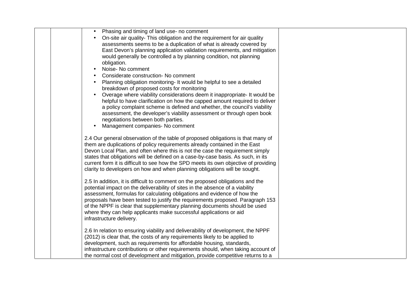| Phasing and timing of land use- no comment<br>On-site air quality- This obligation and the requirement for air quality<br>assessments seems to be a duplication of what is already covered by<br>East Devon's planning application validation requirements, and mitigation<br>would generally be controlled a by planning condition, not planning<br>obligation.<br>Noise- No comment<br>Considerate construction- No comment<br>Planning obligation monitoring- It would be helpful to see a detailed<br>breakdown of proposed costs for monitoring<br>Overage where viability considerations deem it inappropriate- It would be<br>helpful to have clarification on how the capped amount required to deliver<br>a policy complaint scheme is defined and whether, the council's viability<br>assessment, the developer's viability assessment or through open book<br>negotiations between both parties.<br>Management companies- No comment |
|-------------------------------------------------------------------------------------------------------------------------------------------------------------------------------------------------------------------------------------------------------------------------------------------------------------------------------------------------------------------------------------------------------------------------------------------------------------------------------------------------------------------------------------------------------------------------------------------------------------------------------------------------------------------------------------------------------------------------------------------------------------------------------------------------------------------------------------------------------------------------------------------------------------------------------------------------|
| 2.4 Our general observation of the table of proposed obligations is that many of                                                                                                                                                                                                                                                                                                                                                                                                                                                                                                                                                                                                                                                                                                                                                                                                                                                                |
| them are duplications of policy requirements already contained in the East<br>Devon Local Plan, and often where this is not the case the requirement simply<br>states that obligations will be defined on a case-by-case basis. As such, in its<br>current form it is difficult to see how the SPD meets its own objective of providing<br>clarity to developers on how and when planning obligations will be sought.                                                                                                                                                                                                                                                                                                                                                                                                                                                                                                                           |
| 2.5 In addition, it is difficult to comment on the proposed obligations and the<br>potential impact on the deliverability of sites in the absence of a viability<br>assessment, formulas for calculating obligations and evidence of how the<br>proposals have been tested to justify the requirements proposed. Paragraph 153<br>of the NPPF is clear that supplementary planning documents should be used<br>where they can help applicants make successful applications or aid<br>infrastructure delivery.                                                                                                                                                                                                                                                                                                                                                                                                                                   |
| 2.6 In relation to ensuring viability and deliverability of development, the NPPF<br>(2012) is clear that, the costs of any requirements likely to be applied to<br>development, such as requirements for affordable housing, standards,<br>infrastructure contributions or other requirements should, when taking account of<br>the normal cost of development and mitigation, provide competitive returns to a                                                                                                                                                                                                                                                                                                                                                                                                                                                                                                                                |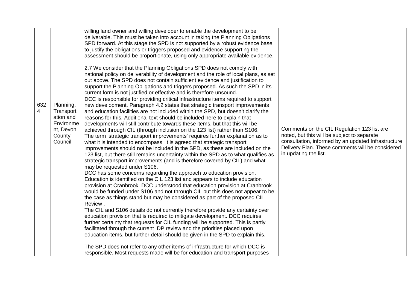| 632<br>$\overline{4}$ | Planning,<br>Transport<br>ation and<br>Environme<br>nt, Devon<br>County<br>Council | willing land owner and willing developer to enable the development to be<br>deliverable. This must be taken into account in taking the Planning Obligations<br>SPD forward. At this stage the SPD is not supported by a robust evidence base<br>to justify the obligations or triggers proposed and evidence supporting the<br>assessment should be proportionate, using only appropriate available evidence.<br>2.7 We consider that the Planning Obligations SPD does not comply with<br>national policy on deliverability of development and the role of local plans, as set<br>out above. The SPD does not contain sufficient evidence and justification to<br>support the Planning Obligations and triggers proposed. As such the SPD in its<br>current form is not justified or effective and is therefore unsound.<br>DCC is responsible for providing critical infrastructure items required to support<br>new development. Paragraph 4.2 states that strategic transport improvements<br>and education facilities are not included within the SPD, but doesn't clarify the<br>reasons for this. Additional text should be included here to explain that<br>developments will still contribute towards these items, but that this will be<br>achieved through CIL (through inclusion on the 123 list) rather than S106.<br>The term 'strategic transport improvements' requires further explanation as to<br>what it is intended to encompass. It is agreed that strategic transport<br>improvements should not be included in the SPD, as these are included on the<br>123 list, but there still remains uncertainty within the SPD as to what qualifies as<br>strategic transport improvements (and is therefore covered by CIL) and what<br>may be requested under S106.<br>DCC has some concerns regarding the approach to education provision.<br>Education is identified on the CIL 123 list and appears to include education<br>provision at Cranbrook. DCC understood that education provision at Cranbrook<br>would be funded under S106 and not through CIL but this does not appear to be<br>the case as things stand but may be considered as part of the proposed CIL<br>Review. | Comments on the CIL Regulation 123 list are<br>noted, but this will be subject to separate<br>consultation, informed by an updated Infrastructure<br>Delivery Plan. These comments will be considered<br>in updating the list. |
|-----------------------|------------------------------------------------------------------------------------|-------------------------------------------------------------------------------------------------------------------------------------------------------------------------------------------------------------------------------------------------------------------------------------------------------------------------------------------------------------------------------------------------------------------------------------------------------------------------------------------------------------------------------------------------------------------------------------------------------------------------------------------------------------------------------------------------------------------------------------------------------------------------------------------------------------------------------------------------------------------------------------------------------------------------------------------------------------------------------------------------------------------------------------------------------------------------------------------------------------------------------------------------------------------------------------------------------------------------------------------------------------------------------------------------------------------------------------------------------------------------------------------------------------------------------------------------------------------------------------------------------------------------------------------------------------------------------------------------------------------------------------------------------------------------------------------------------------------------------------------------------------------------------------------------------------------------------------------------------------------------------------------------------------------------------------------------------------------------------------------------------------------------------------------------------------------------------------------------------------------------------------------------------------------------------------------------------|--------------------------------------------------------------------------------------------------------------------------------------------------------------------------------------------------------------------------------|
|                       |                                                                                    | The CIL and S106 details do not currently therefore provide any certainty over                                                                                                                                                                                                                                                                                                                                                                                                                                                                                                                                                                                                                                                                                                                                                                                                                                                                                                                                                                                                                                                                                                                                                                                                                                                                                                                                                                                                                                                                                                                                                                                                                                                                                                                                                                                                                                                                                                                                                                                                                                                                                                                        |                                                                                                                                                                                                                                |
|                       |                                                                                    | education provision that is required to mitigate development. DCC requires<br>further certainty that requests for CIL funding will be supported. This is partly<br>facilitated through the current IDP review and the priorities placed upon<br>education items, but further detail should be given in the SPD to explain this.                                                                                                                                                                                                                                                                                                                                                                                                                                                                                                                                                                                                                                                                                                                                                                                                                                                                                                                                                                                                                                                                                                                                                                                                                                                                                                                                                                                                                                                                                                                                                                                                                                                                                                                                                                                                                                                                       |                                                                                                                                                                                                                                |
|                       |                                                                                    | The SPD does not refer to any other items of infrastructure for which DCC is<br>responsible. Most requests made will be for education and transport purposes                                                                                                                                                                                                                                                                                                                                                                                                                                                                                                                                                                                                                                                                                                                                                                                                                                                                                                                                                                                                                                                                                                                                                                                                                                                                                                                                                                                                                                                                                                                                                                                                                                                                                                                                                                                                                                                                                                                                                                                                                                          |                                                                                                                                                                                                                                |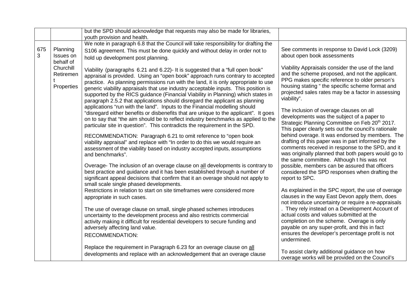|          |                                      | but the SPD should acknowledge that requests may also be made for libraries,                                                                                                                                                                                                                                                                                                                                                                                                                                                                                                                                                                                                                                                                                                                                                                              |                                                                                                                                                                                                                                                                                                                                                                                                                                                                                              |
|----------|--------------------------------------|-----------------------------------------------------------------------------------------------------------------------------------------------------------------------------------------------------------------------------------------------------------------------------------------------------------------------------------------------------------------------------------------------------------------------------------------------------------------------------------------------------------------------------------------------------------------------------------------------------------------------------------------------------------------------------------------------------------------------------------------------------------------------------------------------------------------------------------------------------------|----------------------------------------------------------------------------------------------------------------------------------------------------------------------------------------------------------------------------------------------------------------------------------------------------------------------------------------------------------------------------------------------------------------------------------------------------------------------------------------------|
|          |                                      | youth provision and health.                                                                                                                                                                                                                                                                                                                                                                                                                                                                                                                                                                                                                                                                                                                                                                                                                               |                                                                                                                                                                                                                                                                                                                                                                                                                                                                                              |
|          |                                      | We note in paragraph 6.8 that the Council will take responsibility for drafting the                                                                                                                                                                                                                                                                                                                                                                                                                                                                                                                                                                                                                                                                                                                                                                       |                                                                                                                                                                                                                                                                                                                                                                                                                                                                                              |
| 675<br>3 | Planning<br>Issues on<br>behalf of   | S106 agreement. This must be done quickly and without delay in order not to<br>hold up development post planning.                                                                                                                                                                                                                                                                                                                                                                                                                                                                                                                                                                                                                                                                                                                                         | See comments in response to David Lock (3209)<br>about open book assessments                                                                                                                                                                                                                                                                                                                                                                                                                 |
|          | Churchill<br>Retiremen<br>Properties | Viability (paragraphs 6.21 and 6.22)- It is suggested that a "full open book"<br>appraisal is provided. Using an "open book" approach runs contrary to accepted<br>practice. As planning permissions run with the land, it is only appropriate to use<br>generic viability appraisals that use industry acceptable inputs. This position is<br>supported by the RICS guidance (Financial Viability in Planning) which states in<br>paragraph 2.5.2 that applications should disregard the applicant as planning<br>applications "run with the land". Inputs to the Financial modelling should<br>"disregard either benefits or disbenefits that are unique to the applicant". It goes<br>on to say that "the aim should be to reflect industry benchmarks as applied to the<br>particular site in question". This contradicts the requirement in the SPD. | Viability Appraisals consider the use of the land<br>and the scheme proposed, and not the applicant.<br>PPG makes specific reference to older person's<br>housing stating "the specific scheme format and<br>projected sales rates may be a factor in assessing<br>viability".<br>The inclusion of overage clauses on all<br>developments was the subject of a paper to<br>Strategic Planning Committee on Feb 20 <sup>th</sup> 2017.<br>This paper clearly sets out the council's rationale |
|          |                                      | RECOMMENDATION: Paragraph 6.21 to omit reference to "open book<br>viability appraisal" and replace with "In order to do this we would require an<br>assessment of the viability based on industry accepted inputs, assumptions<br>and benchmarks".                                                                                                                                                                                                                                                                                                                                                                                                                                                                                                                                                                                                        | behind overage. It was endorsed by members. The<br>drafting of this paper was in part informed by the<br>comments received in response to the SPD, and it<br>was originally planned that both papers would go to<br>the same committee. Although t his was not                                                                                                                                                                                                                               |
|          |                                      | Overage- The inclusion of an overage clause on all developments is contrary to<br>best practice and guidance and it has been established through a number of<br>significant appeal decisions that confirm that it an overage should not apply to<br>small scale single phased developments.                                                                                                                                                                                                                                                                                                                                                                                                                                                                                                                                                               | possible, members can be assured that officers<br>considered the SPD responses when drafting the<br>report to SPC.                                                                                                                                                                                                                                                                                                                                                                           |
|          |                                      | Restrictions in relation to start on site timeframes were considered more<br>appropriate in such cases.                                                                                                                                                                                                                                                                                                                                                                                                                                                                                                                                                                                                                                                                                                                                                   | As explained in the SPC report, the use of overage<br>clauses in the way East Devon apply them, does<br>not introduce uncertainty or require a re-appraisals                                                                                                                                                                                                                                                                                                                                 |
|          |                                      | The use of overage clause on small, single phased schemes introduces<br>uncertainty to the development process and also restricts commercial<br>activity making it difficult for residential developers to secure funding and<br>adversely affecting land value.<br><b>RECOMMENDATION:</b>                                                                                                                                                                                                                                                                                                                                                                                                                                                                                                                                                                | . They rely instead on a Development Account of<br>actual costs and values submitted at the<br>completion on the scheme. Overage is only<br>payable on any super-profit, and this in fact<br>ensures the developer's percentage profit is not<br>undermined.                                                                                                                                                                                                                                 |
|          |                                      | Replace the requirement in Paragraph 6.23 for an overage clause on all<br>developments and replace with an acknowledgement that an overage clause                                                                                                                                                                                                                                                                                                                                                                                                                                                                                                                                                                                                                                                                                                         | To assist clarity additional guidance on how<br>overage works will be provided on the Council's                                                                                                                                                                                                                                                                                                                                                                                              |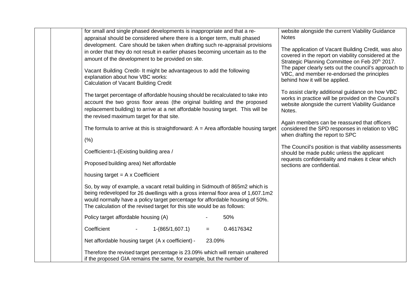|  | for small and single phased developments is inappropriate and that a re-<br>appraisal should be considered where there is a longer term, multi phased                                                                                                                                                                          | website alongside the current Viability Guidance<br><b>Notes</b>                                                                                                          |
|--|--------------------------------------------------------------------------------------------------------------------------------------------------------------------------------------------------------------------------------------------------------------------------------------------------------------------------------|---------------------------------------------------------------------------------------------------------------------------------------------------------------------------|
|  | development. Care should be taken when drafting such re-appraisal provisions<br>in order that they do not result in earlier phases becoming uncertain as to the<br>amount of the development to be provided on site.                                                                                                           | The application of Vacant Building Credit, was also<br>covered in the report on viability considered at the<br>Strategic Planning Committee on Feb 20 <sup>th</sup> 2017. |
|  | Vacant Building Credit- It might be advantageous to add the following<br>explanation about how VBC works:<br><b>Calculation of Vacant Building Credit</b>                                                                                                                                                                      | The paper clearly sets out the council's approach to<br>VBC, and member re-endorsed the principles<br>behind how it will be applied.                                      |
|  | The target percentage of affordable housing should be recalculated to take into<br>account the two gross floor areas (the original building and the proposed<br>replacement building) to arrive at a net affordable housing target. This will be<br>the revised maximum target for that site.                                  | To assist clarity additional guidance on how VBC<br>works in practice will be provided on the Council's<br>website alongside the current Viability Guidance<br>Notes.     |
|  | The formula to arrive at this is straightforward: $A = Area$ affordable housing target                                                                                                                                                                                                                                         | Again members can be reassured that officers<br>considered the SPD responses in relation to VBC<br>when drafting the report to SPC                                        |
|  | (% )                                                                                                                                                                                                                                                                                                                           | The Council's position is that viability assessments                                                                                                                      |
|  | Coefficient=1-(Existing building area /                                                                                                                                                                                                                                                                                        | should be made public unless the applicant                                                                                                                                |
|  | Proposed building area) Net affordable                                                                                                                                                                                                                                                                                         | requests confidentiality and makes it clear which<br>sections are confidential.                                                                                           |
|  | housing target $= A \times Coefficient$                                                                                                                                                                                                                                                                                        |                                                                                                                                                                           |
|  | So, by way of example, a vacant retail building in Sidmouth of 865m2 which is<br>being redeveloped for 26 dwellings with a gross internal floor area of 1,607.1m2<br>would normally have a policy target percentage for affordable housing of 50%.<br>The calculation of the revised target for this site would be as follows: |                                                                                                                                                                           |
|  | Policy target affordable housing (A)<br>50%                                                                                                                                                                                                                                                                                    |                                                                                                                                                                           |
|  | Coefficient<br>$1-(865/1,607.1)$<br>0.46176342<br>$=$                                                                                                                                                                                                                                                                          |                                                                                                                                                                           |
|  | Net affordable housing target (A x coefficient) -<br>23.09%                                                                                                                                                                                                                                                                    |                                                                                                                                                                           |
|  | Therefore the revised target percentage is 23.09% which will remain unaltered<br>if the proposed GIA remains the same, for example, but the number of                                                                                                                                                                          |                                                                                                                                                                           |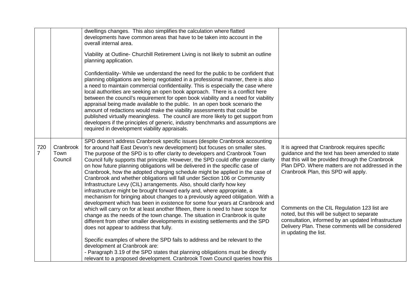|                       |                              | dwellings changes. This also simplifies the calculation where flatted<br>developments have common areas that have to be taken into account in the<br>overall internal area.                                                                                                                                                                                                                                                                                                                                                                                                                                                                                                                                                                                                                                                                                                                         |                                                                                                                                                                                                                                                                                                 |
|-----------------------|------------------------------|-----------------------------------------------------------------------------------------------------------------------------------------------------------------------------------------------------------------------------------------------------------------------------------------------------------------------------------------------------------------------------------------------------------------------------------------------------------------------------------------------------------------------------------------------------------------------------------------------------------------------------------------------------------------------------------------------------------------------------------------------------------------------------------------------------------------------------------------------------------------------------------------------------|-------------------------------------------------------------------------------------------------------------------------------------------------------------------------------------------------------------------------------------------------------------------------------------------------|
|                       |                              | Viability at Outline- Churchill Retirement Living is not likely to submit an outline<br>planning application.                                                                                                                                                                                                                                                                                                                                                                                                                                                                                                                                                                                                                                                                                                                                                                                       |                                                                                                                                                                                                                                                                                                 |
|                       |                              | Confidentiality-While we understand the need for the public to be confident that<br>planning obligations are being negotiated in a professional manner, there is also<br>a need to maintain commercial confidentiality. This is especially the case where<br>local authorities are seeking an open book approach. There is a conflict here<br>between the council's requirement for open book viability and a need for viability<br>appraisal being made available to the public. In an open book scenario the<br>amount of redactions would make the viability assessments that could be<br>published virtually meaningless. The council are more likely to get support from<br>developers if the principles of generic, industry benchmarks and assumptions are<br>required in development viability appraisals.                                                                                  |                                                                                                                                                                                                                                                                                                 |
| 720<br>$\overline{7}$ | Cranbrook<br>Town<br>Council | SPD doesn't address Cranbrook specific issues (despite Cranbrook accounting<br>for around half East Devon's new development) but focuses on smaller sites.<br>The purpose of the SPD is to offer clarity to developers and Cranbrook Town<br>Council fully supports that principle. However, the SPD could offer greater clarity<br>on how future planning obligations will be delivered in the specific case of<br>Cranbrook, how the adopted charging schedule might be applied in the case of<br>Cranbrook and whether obligations will fall under Section 106 or Community<br>Infrastructure Levy (CIL) arrangements. Also, should clarify how key<br>infrastructure might be brought forward early and, where appropriate, a<br>mechanism for bringing about changes to a previously agreed obligation. With a<br>development which has been in existence for some four years at Cranbrook and | It is agreed that Cranbrook requires specific<br>guidance and the text has been amended to state<br>that this will be provided through the Cranbrook<br>Plan DPD. Where matters are not addressed in the<br>Cranbrook Plan, this SPD will apply.<br>Comments on the CIL Regulation 123 list are |
|                       |                              | which will carry on for at least another fifteen, there is need to have scope for<br>change as the needs of the town change. The situation in Cranbrook is quite<br>different from other smaller developments in existing settlements and the SPD<br>does not appear to address that fully.                                                                                                                                                                                                                                                                                                                                                                                                                                                                                                                                                                                                         | noted, but this will be subject to separate<br>consultation, informed by an updated Infrastructure<br>Delivery Plan. These comments will be considered<br>in updating the list.                                                                                                                 |
|                       |                              | Specific examples of where the SPD fails to address and be relevant to the<br>development at Cranbrook are:<br>- Paragraph 3.19 of the SPD states that planning obligations must be directly<br>relevant to a proposed development. Cranbrook Town Council queries how this                                                                                                                                                                                                                                                                                                                                                                                                                                                                                                                                                                                                                         |                                                                                                                                                                                                                                                                                                 |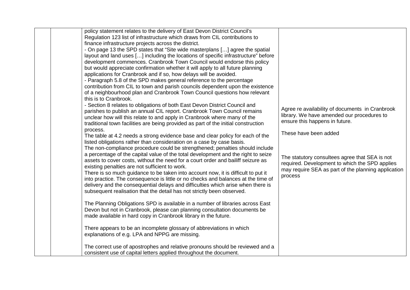| policy statement relates to the delivery of East Devon District Council's<br>Regulation 123 list of infrastructure which draws from CIL contributions to<br>finance infrastructure projects across the district.<br>- On page 13 the SPD states that "Site wide masterplans [] agree the spatial<br>layout and land uses [] including the locations of specific infrastructure" before<br>development commences. Cranbrook Town Council would endorse this policy<br>but would appreciate confirmation whether it will apply to all future planning<br>applications for Cranbrook and if so, how delays will be avoided.<br>- Paragraph 5.8 of the SPD makes general reference to the percentage<br>contribution from CIL to town and parish councils dependent upon the existence<br>of a neighbourhood plan and Cranbrook Town Council questions how relevant<br>this is to Cranbrook.<br>- Section 8 relates to obligations of both East Devon District Council and<br>parishes to publish an annual CIL report. Cranbrook Town Council remains<br>unclear how will this relate to and apply in Cranbrook where many of the<br>traditional town facilities are being provided as part of the initial construction<br>process.<br>The table at 4.2 needs a strong evidence base and clear policy for each of the<br>listed obligations rather than consideration on a case by case basis.<br>The non-compliance procedure could be strengthened; penalties should include<br>a percentage of the capital value of the total development and the right to seize<br>assets to cover costs, without the need for a court order and bailiff seizure as<br>existing penalties are not sufficient to work.<br>There is so much guidance to be taken into account now, it is difficult to put it<br>into practice. The consequence is little or no checks and balances at the time of<br>delivery and the consequential delays and difficulties which arise when there is<br>subsequent realisation that the detail has not strictly been observed.<br>The Planning Obligations SPD is available in a number of libraries across East | Agree re availability of documents in Cranbrook<br>library. We have amended our procedures to<br>ensure this happens in future.<br>These have been added<br>The statutory consultees agree that SEA is not<br>required. Development to which the SPD applies<br>may require SEA as part of the planning application<br>process |
|----------------------------------------------------------------------------------------------------------------------------------------------------------------------------------------------------------------------------------------------------------------------------------------------------------------------------------------------------------------------------------------------------------------------------------------------------------------------------------------------------------------------------------------------------------------------------------------------------------------------------------------------------------------------------------------------------------------------------------------------------------------------------------------------------------------------------------------------------------------------------------------------------------------------------------------------------------------------------------------------------------------------------------------------------------------------------------------------------------------------------------------------------------------------------------------------------------------------------------------------------------------------------------------------------------------------------------------------------------------------------------------------------------------------------------------------------------------------------------------------------------------------------------------------------------------------------------------------------------------------------------------------------------------------------------------------------------------------------------------------------------------------------------------------------------------------------------------------------------------------------------------------------------------------------------------------------------------------------------------------------------------------------------------------------------------------------------------------------------------------------------|--------------------------------------------------------------------------------------------------------------------------------------------------------------------------------------------------------------------------------------------------------------------------------------------------------------------------------|
| Devon but not in Cranbrook, please can planning consultation documents be<br>made available in hard copy in Cranbrook library in the future.<br>There appears to be an incomplete glossary of abbreviations in which<br>explanations of e.g. LPA and NPPG are missing.                                                                                                                                                                                                                                                                                                                                                                                                                                                                                                                                                                                                                                                                                                                                                                                                                                                                                                                                                                                                                                                                                                                                                                                                                                                                                                                                                                                                                                                                                                                                                                                                                                                                                                                                                                                                                                                           |                                                                                                                                                                                                                                                                                                                                |
| The correct use of apostrophes and relative pronouns should be reviewed and a<br>consistent use of capital letters applied throughout the document.                                                                                                                                                                                                                                                                                                                                                                                                                                                                                                                                                                                                                                                                                                                                                                                                                                                                                                                                                                                                                                                                                                                                                                                                                                                                                                                                                                                                                                                                                                                                                                                                                                                                                                                                                                                                                                                                                                                                                                              |                                                                                                                                                                                                                                                                                                                                |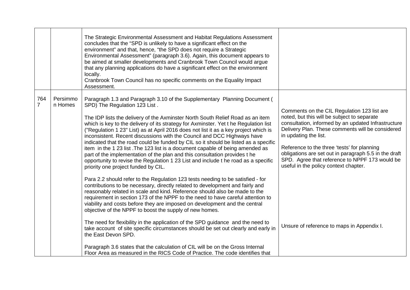|                       |                     | The Strategic Environmental Assessment and Habitat Regulations Assessment<br>concludes that the "SPD is unlikely to have a significant effect on the<br>environment" and that, hence, "the SPD does not require a Strategic<br>Environmental Assessment" (paragraph 3.6). Again, this document appears to<br>be aimed at smaller developments and Cranbrook Town Council would argue<br>that any planning applications do have a significant effect on the environment<br>locally.<br>Cranbrook Town Council has no specific comments on the Equality Impact<br>Assessment.                                                                                                                                                                                                                                                                                                                                                                                                                                                                                                                                                                                                                                                                                                                                              |                                                                                                                                                                                                                                                                                                                                                                                                                                   |
|-----------------------|---------------------|--------------------------------------------------------------------------------------------------------------------------------------------------------------------------------------------------------------------------------------------------------------------------------------------------------------------------------------------------------------------------------------------------------------------------------------------------------------------------------------------------------------------------------------------------------------------------------------------------------------------------------------------------------------------------------------------------------------------------------------------------------------------------------------------------------------------------------------------------------------------------------------------------------------------------------------------------------------------------------------------------------------------------------------------------------------------------------------------------------------------------------------------------------------------------------------------------------------------------------------------------------------------------------------------------------------------------|-----------------------------------------------------------------------------------------------------------------------------------------------------------------------------------------------------------------------------------------------------------------------------------------------------------------------------------------------------------------------------------------------------------------------------------|
| 764<br>$\overline{7}$ | Persimmo<br>n Homes | Paragraph 1.3 and Paragraph 3.10 of the Supplementary Planning Document (<br>SPD) The Regulation 123 List.<br>The IDP lists the delivery of the Axminster North South Relief Road as an item<br>which is key to the delivery of its strategy for Axminster. Yet t he Regulation list<br>("Regulation 1 23" List) as at April 2016 does not list it as a key project which is<br>inconsistent. Recent discussions with the Council and DCC Highways have<br>indicated that the road could be funded by CIL so it should be listed as a specific<br>item in the 1 23 list. The 123 list is a document capable of being amended as<br>part of the implementation of the plan and this consultation provides t he<br>opportunity to revise the Regulation 1 23 List and include t he road as a specific<br>priority one project funded by CIL.<br>Para 2.2 should refer to the Regulation 123 tests needing to be satisfied - for<br>contributions to be necessary, directly related to development and fairly and<br>reasonably related in scale and kind. Reference should also be made to the<br>requirement in section 173 of the NPPF to the need to have careful attention to<br>viability and costs before they are imposed on development and the central<br>objective of the NPPF to boost the supply of new homes. | Comments on the CIL Regulation 123 list are<br>noted, but this will be subject to separate<br>consultation, informed by an updated Infrastructure<br>Delivery Plan. These comments will be considered<br>in updating the list.<br>Reference to the three 'tests' for planning<br>obligations are set out in paragraph 5.5 in the draft<br>SPD. Agree that reference to NPPF 173 would be<br>useful in the policy context chapter. |
|                       |                     | The need for flexibility in the application of the SPD guidance and the need to<br>take account of site specific circumstances should be set out clearly and early in<br>the East Devon SPD.                                                                                                                                                                                                                                                                                                                                                                                                                                                                                                                                                                                                                                                                                                                                                                                                                                                                                                                                                                                                                                                                                                                             | Unsure of reference to maps in Appendix I.                                                                                                                                                                                                                                                                                                                                                                                        |
|                       |                     | Paragraph 3.6 states that the calculation of CIL will be on the Gross Internal<br>Floor Area as measured in the RICS Code of Practice. The code identifies that                                                                                                                                                                                                                                                                                                                                                                                                                                                                                                                                                                                                                                                                                                                                                                                                                                                                                                                                                                                                                                                                                                                                                          |                                                                                                                                                                                                                                                                                                                                                                                                                                   |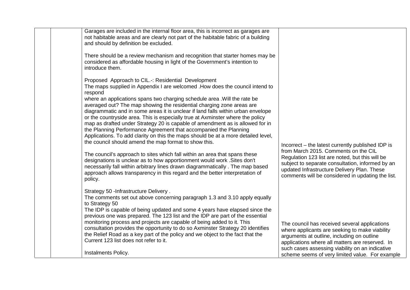| Garages are included in the internal floor area, this is incorrect as garages are<br>not habitable areas and are clearly not part of the habitable fabric of a building<br>and should by definition be excluded.                                                                                                                   |                                                                                                                                                                                                                                                 |
|------------------------------------------------------------------------------------------------------------------------------------------------------------------------------------------------------------------------------------------------------------------------------------------------------------------------------------|-------------------------------------------------------------------------------------------------------------------------------------------------------------------------------------------------------------------------------------------------|
| There should be a review mechanism and recognition that starter homes may be<br>considered as affordable housing in light of the Government's intention to<br>introduce them.                                                                                                                                                      |                                                                                                                                                                                                                                                 |
| Proposed Approach to CIL.-: Residential Development<br>The maps supplied in Appendix I are welcomed . How does the council intend to<br>respond                                                                                                                                                                                    |                                                                                                                                                                                                                                                 |
| where an applications spans two charging schedule area. Will the rate be<br>averaged out? The map showing the residential charging zone areas are<br>diagrammatic and in some areas it is unclear if land falls within urban envelope<br>or the countryside area. This is especially true at Axminster where the policy            |                                                                                                                                                                                                                                                 |
| map as drafted under Strategy 20 is capable of amendment as is allowed for in<br>the Planning Performance Agreement that accompanied the Planning<br>Applications. To add clarity on this the maps should be at a more detailed level,<br>the council should amend the map format to show this.                                    | Incorrect – the latest currently published IDP is                                                                                                                                                                                               |
| The council's approach to sites which fall within an area that spans these<br>designations is unclear as to how apportionment would work . Sites don't<br>necessarily fall within arbitrary lines drawn diagrammatically. The map based<br>approach allows transparency in this regard and the better interpretation of<br>policy. | from March 2015. Comments on the CIL<br>Regulation 123 list are noted, but this will be<br>subject to separate consultation, informed by an<br>updated Infrastructure Delivery Plan. These<br>comments will be considered in updating the list. |
| Strategy 50 - Infrastructure Delivery.<br>The comments set out above concerning paragraph 1.3 and 3.10 apply equally<br>to Strategy 50                                                                                                                                                                                             |                                                                                                                                                                                                                                                 |
| The IDP is capable of being updated and some 4 years have elapsed since the<br>previous one was prepared. The 123 list and the IDP are part of the essential<br>monitoring process and projects are capable of being added to it. This<br>consultation provides the opportunity to do so Axminster Strategy 20 identifies          | The council has received several applications<br>where applicants are seeking to make viability                                                                                                                                                 |
| the Relief Road as a key part of the policy and we object to the fact that the<br>Current 123 list does not refer to it.<br>Instalments Policy.                                                                                                                                                                                    | arguments at outline, including on outline<br>applications where all matters are reserved. In<br>such cases assessing viability on an indicative                                                                                                |
|                                                                                                                                                                                                                                                                                                                                    | scheme seems of very limited value. For example                                                                                                                                                                                                 |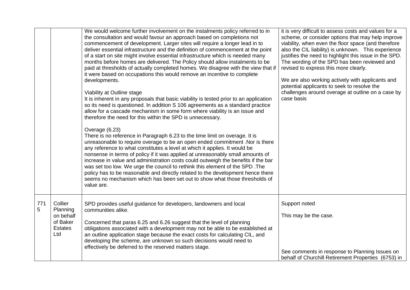|          |                                                                       | We would welcome further involvement on the instalments policy referred to in<br>the consultation and would favour an approach based on completions not<br>commencement of development. Larger sites will require a longer lead in to<br>deliver essential infrastructure and the definition of commencement at the point<br>of a start on site might involve essential infrastructure which is needed many<br>months before homes are delivered. The Policy should allow instalments to be<br>paid at thresholds of actually completed homes. We disagree with the view that if<br>it were based on occupations this would remove an incentive to complete<br>developments.<br>Viability at Outline stage<br>It is inherent in any proposals that basic viability is tested prior to an application<br>so its need is questioned. In addition S 106 agreements as a standard practice<br>allow for a cascade mechanism in some form where viability is an issue and<br>therefore the need for this within the SPD is unnecessary.<br>Overage (6.23)<br>There is no reference in Paragraph 6.23 to the time limit on overage. It is<br>unreasonable to require overage to be an open ended commitment. Nor is there<br>any reference to what constitutes a level at which it applies. It would be<br>nonsense in terms of policy if it was applied at unreasonably small amounts of<br>increase in value and administration costs could outweigh the benefits if the bar<br>was set too low. We urge the council to rethink this element of the SPD. The<br>policy has to be reasonable and directly related to the development hence there<br>seems no mechanism which has been set out to show what those thresholds of<br>value are. | it is very difficult to assess costs and values for a<br>scheme, or consider options that may help improve<br>viability, when even the floor space (and therefore<br>also the CIL liability) is unknown. This experience<br>justifies the need to highlight this issue in the SPD.<br>The wording of the SPD has been reviewed and<br>revised to express this more clearly.<br>We are also working actively with applicants and<br>potential applicants to seek to resolve the<br>challenges around overage at outline on a case by<br>case basis |
|----------|-----------------------------------------------------------------------|-----------------------------------------------------------------------------------------------------------------------------------------------------------------------------------------------------------------------------------------------------------------------------------------------------------------------------------------------------------------------------------------------------------------------------------------------------------------------------------------------------------------------------------------------------------------------------------------------------------------------------------------------------------------------------------------------------------------------------------------------------------------------------------------------------------------------------------------------------------------------------------------------------------------------------------------------------------------------------------------------------------------------------------------------------------------------------------------------------------------------------------------------------------------------------------------------------------------------------------------------------------------------------------------------------------------------------------------------------------------------------------------------------------------------------------------------------------------------------------------------------------------------------------------------------------------------------------------------------------------------------------------------------------------------------------------------------------------------------------------|---------------------------------------------------------------------------------------------------------------------------------------------------------------------------------------------------------------------------------------------------------------------------------------------------------------------------------------------------------------------------------------------------------------------------------------------------------------------------------------------------------------------------------------------------|
| 771<br>5 | Collier<br>Planning<br>on behalf<br>of Baker<br><b>Estates</b><br>Ltd | SPD provides useful guidance for developers, landowners and local<br>communities alike.<br>Concerned that paras 6.25 and 6.26 suggest that the level of planning<br>obligations associated with a development may not be able to be established at<br>an outline application stage because the exact costs for calculating CIL, and<br>developing the scheme, are unknown so such decisions would need to<br>effectively be deferred to the reserved matters stage.                                                                                                                                                                                                                                                                                                                                                                                                                                                                                                                                                                                                                                                                                                                                                                                                                                                                                                                                                                                                                                                                                                                                                                                                                                                                     | Support noted<br>This may be the case.<br>See comments in response to Planning Issues on<br>behalf of Churchill Retirement Properties (6753) in                                                                                                                                                                                                                                                                                                                                                                                                   |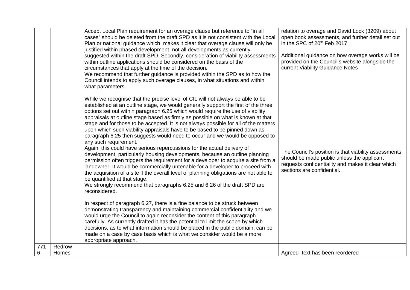|          |                 | Accept Local Plan requirement for an overage clause but reference to "in all<br>cases" should be deleted from the draft SPD as it is not consistent with the Local<br>Plan or national guidance which makes it clear that overage clause will only be<br>justified within phased development, not all developments as currently<br>suggested within the draft SPD. Secondly, consideration of viability assessments<br>within outline applications should be considered on the basis of the<br>circumstances that apply at the time of the decision.<br>We recommend that further guidance is provided within the SPD as to how the<br>Council intends to apply such overage clauses, in what situations and within<br>what parameters.<br>While we recognise that the precise level of CIL will not always be able to be<br>established at an outline stage, we would generally support the first of the three<br>options set out within paragraph 6.25 which would require the use of viability<br>appraisals at outline stage based as firmly as possible on what is known at that<br>stage and for those to be accepted. It is not always possible for all of the matters<br>upon which such viability appraisals have to be based to be pinned down as<br>paragraph 6.25 then suggests would need to occur and we would be opposed to<br>any such requirement.<br>Again, this could have serious repercussions for the actual delivery of<br>development, particularly housing developments, because an outline planning<br>permission often triggers the requirement for a developer to acquire a site from a<br>landowner. It would be commercially untenable for a developer to proceed with<br>the acquisition of a site if the overall level of planning obligations are not able to<br>be quantified at that stage.<br>We strongly recommend that paragraphs 6.25 and 6.26 of the draft SPD are<br>reconsidered.<br>In respect of paragraph 6.27, there is a fine balance to be struck between<br>demonstrating transparency and maintaining commercial confidentiality and we<br>would urge the Council to again reconsider the content of this paragraph<br>carefully. As currently drafted it has the potential to limit the scope by which | relation to overage and David Lock (3209) about<br>open book assessments, and further detail set out<br>in the SPC of 20 <sup>th</sup> Feb 2017.<br>Additional guidance on how overage works will be<br>provided on the Council's website alongside the<br>current Viability Guidance Notes<br>The Council's position is that viability assessments<br>should be made public unless the applicant<br>requests confidentiality and makes it clear which<br>sections are confidential. |
|----------|-----------------|-----------------------------------------------------------------------------------------------------------------------------------------------------------------------------------------------------------------------------------------------------------------------------------------------------------------------------------------------------------------------------------------------------------------------------------------------------------------------------------------------------------------------------------------------------------------------------------------------------------------------------------------------------------------------------------------------------------------------------------------------------------------------------------------------------------------------------------------------------------------------------------------------------------------------------------------------------------------------------------------------------------------------------------------------------------------------------------------------------------------------------------------------------------------------------------------------------------------------------------------------------------------------------------------------------------------------------------------------------------------------------------------------------------------------------------------------------------------------------------------------------------------------------------------------------------------------------------------------------------------------------------------------------------------------------------------------------------------------------------------------------------------------------------------------------------------------------------------------------------------------------------------------------------------------------------------------------------------------------------------------------------------------------------------------------------------------------------------------------------------------------------------------------------------------------------------------------------------------------------------------------------|--------------------------------------------------------------------------------------------------------------------------------------------------------------------------------------------------------------------------------------------------------------------------------------------------------------------------------------------------------------------------------------------------------------------------------------------------------------------------------------|
|          |                 | decisions, as to what information should be placed in the public domain, can be<br>made on a case by case basis which is what we consider would be a more<br>appropriate approach.                                                                                                                                                                                                                                                                                                                                                                                                                                                                                                                                                                                                                                                                                                                                                                                                                                                                                                                                                                                                                                                                                                                                                                                                                                                                                                                                                                                                                                                                                                                                                                                                                                                                                                                                                                                                                                                                                                                                                                                                                                                                        |                                                                                                                                                                                                                                                                                                                                                                                                                                                                                      |
| 771<br>6 | Redrow<br>Homes |                                                                                                                                                                                                                                                                                                                                                                                                                                                                                                                                                                                                                                                                                                                                                                                                                                                                                                                                                                                                                                                                                                                                                                                                                                                                                                                                                                                                                                                                                                                                                                                                                                                                                                                                                                                                                                                                                                                                                                                                                                                                                                                                                                                                                                                           | Agreed- text has been reordered                                                                                                                                                                                                                                                                                                                                                                                                                                                      |
|          |                 |                                                                                                                                                                                                                                                                                                                                                                                                                                                                                                                                                                                                                                                                                                                                                                                                                                                                                                                                                                                                                                                                                                                                                                                                                                                                                                                                                                                                                                                                                                                                                                                                                                                                                                                                                                                                                                                                                                                                                                                                                                                                                                                                                                                                                                                           |                                                                                                                                                                                                                                                                                                                                                                                                                                                                                      |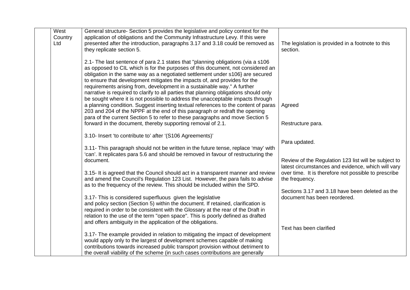| West<br>Country<br>Ltd | General structure- Section 5 provides the legislative and policy context for the<br>application of obligations and the Community Infrastructure Levy. If this were<br>presented after the introduction, paragraphs 3.17 and 3.18 could be removed as<br>they replicate section 5.                                                                                                                                                                                                                                                                                                                                                                                                                                                                                                                                                                                                                            | The legislation is provided in a footnote to this<br>section.                                                                                                                                                                                                                            |
|------------------------|--------------------------------------------------------------------------------------------------------------------------------------------------------------------------------------------------------------------------------------------------------------------------------------------------------------------------------------------------------------------------------------------------------------------------------------------------------------------------------------------------------------------------------------------------------------------------------------------------------------------------------------------------------------------------------------------------------------------------------------------------------------------------------------------------------------------------------------------------------------------------------------------------------------|------------------------------------------------------------------------------------------------------------------------------------------------------------------------------------------------------------------------------------------------------------------------------------------|
|                        | 2.1- The last sentence of para 2.1 states that "planning obligations (via a s106<br>as opposed to CIL which is for the purposes of this document, not considered an<br>obligation in the same way as a negotiated settlement under s106} are secured<br>to ensure that development mitigates the impacts of, and provides for the<br>requirements arising from, development in a sustainable way." A further<br>narrative is required to clarify to all parties that planning obligations should only<br>be sought where it is not possible to address the unacceptable impacts through<br>a planning condition. Suggest inserting textual references to the content of paras<br>203 and 204 of the NPPF at the end of this paragraph or redraft the opening<br>para of the current Section 5 to refer to these paragraphs and move Section 5<br>forward in the document, thereby supporting removal of 2.1. | Agreed<br>Restructure para.                                                                                                                                                                                                                                                              |
|                        | 3.10- Insert 'to contribute to' after '(S106 Agreements)'<br>3.11- This paragraph should not be written in the future tense, replace 'may' with<br>'can'. It replicates para 5.6 and should be removed in favour of restructuring the<br>document.<br>3.15- It is agreed that the Council should act in a transparent manner and review<br>and amend the Council's Regulation 123 List. However, the para fails to advise<br>as to the frequency of the review. This should be included within the SPD.<br>3.17- This is considered superfluous given the legislative<br>and policy section (Section 5) within the document. If retained, clarification is<br>required in order to be consistent with the Glossary at the rear of the Draft in<br>relation to the use of the term "open space". This is poorly defined as drafted<br>and offers ambiguity in the application of the obligations.             | Para updated.<br>Review of the Regulation 123 list will be subject to<br>latest circumstances and evidence, which will vary<br>over time. It is therefore not possible to prescribe<br>the frequency.<br>Sections 3.17 and 3.18 have been deleted as the<br>document has been reordered. |
|                        | 3.17- The example provided in relation to mitigating the impact of development<br>would apply only to the largest of development schemes capable of making<br>contributions towards increased public transport provision without detriment to<br>the overall viability of the scheme (in such cases contributions are generally                                                                                                                                                                                                                                                                                                                                                                                                                                                                                                                                                                              | Text has been clarified                                                                                                                                                                                                                                                                  |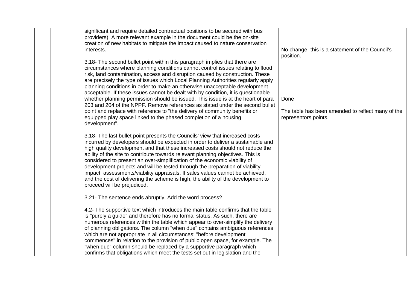| significant and require detailed contractual positions to be secured with bus<br>providers). A more relevant example in the document could be the on-site<br>creation of new habitats to mitigate the impact caused to nature conservation<br>interests.                                                                                                                                                                                                                                                                                                                                                                                                                                            | No change- this is a statement of the Council's<br>position.                                                                                                                                                                             |
|-----------------------------------------------------------------------------------------------------------------------------------------------------------------------------------------------------------------------------------------------------------------------------------------------------------------------------------------------------------------------------------------------------------------------------------------------------------------------------------------------------------------------------------------------------------------------------------------------------------------------------------------------------------------------------------------------------|------------------------------------------------------------------------------------------------------------------------------------------------------------------------------------------------------------------------------------------|
| 3.18- The second bullet point within this paragraph implies that there are<br>circumstances where planning conditions cannot control issues relating to flood<br>risk, land contamination, access and disruption caused by construction. These<br>are precisely the type of issues which Local Planning Authorities regularly apply<br>planning conditions in order to make an otherwise unacceptable development<br>acceptable. If these issues cannot be dealt with by condition, it is questionable                                                                                                                                                                                              |                                                                                                                                                                                                                                          |
|                                                                                                                                                                                                                                                                                                                                                                                                                                                                                                                                                                                                                                                                                                     | Done                                                                                                                                                                                                                                     |
| point and replace with reference to "the delivery of community benefits or<br>equipped play space linked to the phased completion of a housing<br>development".                                                                                                                                                                                                                                                                                                                                                                                                                                                                                                                                     | The table has been amended to reflect many of the<br>representors points.                                                                                                                                                                |
| 3.18- The last bullet point presents the Councils' view that increased costs<br>incurred by developers should be expected in order to deliver a sustainable and<br>high quality development and that these increased costs should not reduce the<br>ability of the site to contribute towards relevant planning objectives. This is<br>considered to present an over-simplification of the economic viability of<br>development projects and will be tested through the preparation of viability<br>impact assessments/viability appraisals. If sales values cannot be achieved,<br>and the cost of delivering the scheme is high, the ability of the development to<br>proceed will be prejudiced. |                                                                                                                                                                                                                                          |
| 3.21- The sentence ends abruptly. Add the word process?                                                                                                                                                                                                                                                                                                                                                                                                                                                                                                                                                                                                                                             |                                                                                                                                                                                                                                          |
| 4.2- The supportive text which introduces the main table confirms that the table<br>is "purely a guide" and therefore has no formal status. As such, there are<br>numerous references within the table which appear to over-simplify the delivery<br>of planning obligations. The column "when due" contains ambiguous references<br>which are not appropriate in all circumstances: "before development<br>commences" in relation to the provision of public open space, for example. The                                                                                                                                                                                                          |                                                                                                                                                                                                                                          |
|                                                                                                                                                                                                                                                                                                                                                                                                                                                                                                                                                                                                                                                                                                     | whether planning permission should be issued. This issue is at the heart of para<br>203 and 204 of the NPPF. Remove references as stated under the second bullet<br>"when due" column should be replaced by a supportive paragraph which |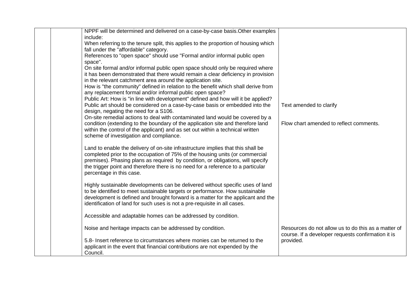| NPPF will be determined and delivered on a case-by-case basis. Other examples<br>include:<br>When referring to the tenure split, this applies to the proportion of housing which<br>fall under the "affordable" category.<br>References to "open space" should use "Formal and/or informal public open                                                                                                                                                                              |                                                                                                           |
|-------------------------------------------------------------------------------------------------------------------------------------------------------------------------------------------------------------------------------------------------------------------------------------------------------------------------------------------------------------------------------------------------------------------------------------------------------------------------------------|-----------------------------------------------------------------------------------------------------------|
| space".<br>On site formal and/or informal public open space should only be required where<br>it has been demonstrated that there would remain a clear deficiency in provision<br>in the relevant catchment area around the application site.<br>How is "the community" defined in relation to the benefit which shall derive from<br>any replacement formal and/or informal public open space?<br>Public Art: How is "in line with development" defined and how will it be applied? |                                                                                                           |
| Public art should be considered on a case-by-case basis or embedded into the<br>design, negating the need for a S106.<br>On-site remedial actions to deal with contaminated land would be covered by a<br>condition (extending to the boundary of the application site and therefore land<br>within the control of the applicant) and as set out within a technical written<br>scheme of investigation and compliance.                                                              | Text amended to clarify<br>Flow chart amended to reflect comments.                                        |
| Land to enable the delivery of on-site infrastructure implies that this shall be<br>completed prior to the occupation of 75% of the housing units (or commercial<br>premises). Phasing plans as required by condition, or obligations, will specify<br>the trigger point and therefore there is no need for a reference to a particular<br>percentage in this case.                                                                                                                 |                                                                                                           |
| Highly sustainable developments can be delivered without specific uses of land<br>to be identified to meet sustainable targets or performance. How sustainable<br>development is defined and brought forward is a matter for the applicant and the<br>identification of land for such uses is not a pre-requisite in all cases.                                                                                                                                                     |                                                                                                           |
| Accessible and adaptable homes can be addressed by condition.                                                                                                                                                                                                                                                                                                                                                                                                                       |                                                                                                           |
| Noise and heritage impacts can be addressed by condition.                                                                                                                                                                                                                                                                                                                                                                                                                           | Resources do not allow us to do this as a matter of<br>course. If a developer requests confirmation it is |
| 5.8- Insert reference to circumstances where monies can be returned to the<br>applicant in the event that financial contributions are not expended by the<br>Council.                                                                                                                                                                                                                                                                                                               | provided.                                                                                                 |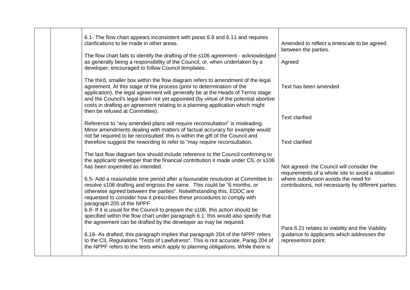| 6.1- The flow chart appears inconsistent with paras 6.8 and 6.11 and requires<br>clarifications to be made in other areas.<br>Amended to reflect a timescale to be agreed                                                                                                                                                                                                                                                                                                                                                                                                                                                                                                                                                    |  |
|------------------------------------------------------------------------------------------------------------------------------------------------------------------------------------------------------------------------------------------------------------------------------------------------------------------------------------------------------------------------------------------------------------------------------------------------------------------------------------------------------------------------------------------------------------------------------------------------------------------------------------------------------------------------------------------------------------------------------|--|
| between the parties.<br>The flow chart fails to identify the drafting of the s106 agreement - acknowledged<br>as generally being a responsibility of the Council, or, when undertaken by a<br>Agreed                                                                                                                                                                                                                                                                                                                                                                                                                                                                                                                         |  |
| developer, encouraged to follow Council templates.<br>The third, smaller box within the flow diagram refers to amendment of the legal<br>agreement. At this stage of the process (prior to determination of the<br>Text has been amended<br>application), the legal agreement will generally be at the Heads of Terms stage<br>and the Council's legal team not yet appointed (by virtue of the potential abortive<br>costs in drafting an agreement relating to a planning application which might                                                                                                                                                                                                                          |  |
| then be refused at Committee).<br><b>Text clarified</b><br>Reference to "any amended plans will require reconsultation" is misleading.<br>Minor amendments dealing with matters of factual accuracy for example would<br>not be required to be reconsulted: this is within the gift of the Council and<br>therefore suggest the rewording to refer to "may require reconsultation.<br><b>Text clarified</b>                                                                                                                                                                                                                                                                                                                  |  |
| The last flow diagram box should include reference to the Council confirming to<br>the applicant/ developer that the financial contribution it made under CIL or s106<br>has been expended as intended.<br>Not agreed- the Council will consider the<br>requirements of a whole site to avoid a situation<br>6.5- Add a reasonable time period after a favourable resolution at Committee to<br>where subdivision avoids the need for<br>resolve s106 drafting and engross the same. This could be "6 months, or<br>contributions, not necessarily by different parties.<br>otherwise agreed between the parties". Notwithstanding this, EDDC are<br>requested to consider how it prescribes these procedures to comply with |  |
| paragraph 205 of the NPPF.<br>6.8- If it is usual for the Council to prepare the s106, this action should be<br>specified within the flow chart under paragraph 6.1: this would also specify that<br>the agreement can be drafted by the developer as may be required.<br>Para 6.21 relates to viability and the Viability<br>6.16- As drafted, this paragraph implies that paragraph 204 of the NPPF refers<br>guidance to applicants which addresses the<br>to the CIL Regulations "Tests of Lawfulness". This is not accurate. Parag 204 of<br>representors point.<br>the NPPF refers to the tests which apply to planning obligations. While there is                                                                    |  |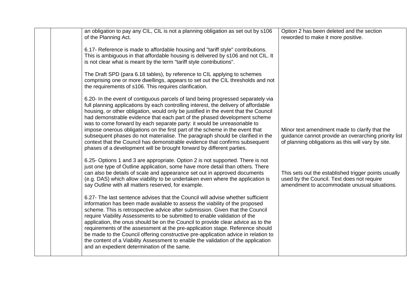| an obligation to pay any CIL, CIL is not a planning obligation as set out by s106<br>of the Planning Act.                                                                                                                                                                                                                                                                                                                                                                                                                                                                                                                                                                                                                                        | Option 2 has been deleted and the section<br>reworded to make it more positive.                                                                             |
|--------------------------------------------------------------------------------------------------------------------------------------------------------------------------------------------------------------------------------------------------------------------------------------------------------------------------------------------------------------------------------------------------------------------------------------------------------------------------------------------------------------------------------------------------------------------------------------------------------------------------------------------------------------------------------------------------------------------------------------------------|-------------------------------------------------------------------------------------------------------------------------------------------------------------|
| 6.17- Reference is made to affordable housing and "tariff style" contributions.<br>This is ambiguous in that affordable housing is delivered by s106 and not CIL. It<br>is not clear what is meant by the term "tariff style contributions".                                                                                                                                                                                                                                                                                                                                                                                                                                                                                                     |                                                                                                                                                             |
| The Draft SPD (para 6.18 tables), by reference to CIL applying to schemes<br>comprising one or more dwellings, appears to set out the CIL thresholds and not<br>the requirements of s106. This requires clarification.                                                                                                                                                                                                                                                                                                                                                                                                                                                                                                                           |                                                                                                                                                             |
| 6.20- In the event of contiguous parcels of land being progressed separately via<br>full planning applications by each controlling interest, the delivery of affordable<br>housing, or other obligation, would only be justified in the event that the Council<br>had demonstrable evidence that each part of the phased development scheme<br>was to come forward by each separate party: it would be unreasonable to<br>impose onerous obligations on the first part of the scheme in the event that<br>subsequent phases do not materialise. The paragraph should be clarified in the<br>context that the Council has demonstrable evidence that confirms subsequent<br>phases of a development will be brought forward by different parties. | Minor text amendment made to clarify that the<br>guidance cannot provide an overarching priority list<br>of planning obligations as this will vary by site. |
| 6.25- Options 1 and 3 are appropriate. Option 2 is not supported. There is not<br>just one type of Outline application, some have more detail than others. There<br>can also be details of scale and appearance set out in approved documents<br>(e.g. DAS) which allow viability to be undertaken even where the application is<br>say Outline with all matters reserved, for example.                                                                                                                                                                                                                                                                                                                                                          | This sets out the established trigger points usually<br>used by the Council. Text does not require<br>amendment to accommodate unusual situations.          |
| 6.27- The last sentence advises that the Council will advise whether sufficient<br>information has been made available to assess the viability of the proposed<br>scheme. This is retrospective advice after submission. Given that the Council<br>require Viability Assessments to be submitted to enable validation of the<br>application, the onus should be on the Council to provide clear advice as to the<br>requirements of the assessment at the pre-application stage. Reference should<br>be made to the Council offering constructive pre-application advice in relation to<br>the content of a Viability Assessment to enable the validation of the application<br>and an expedient determination of the same.                      |                                                                                                                                                             |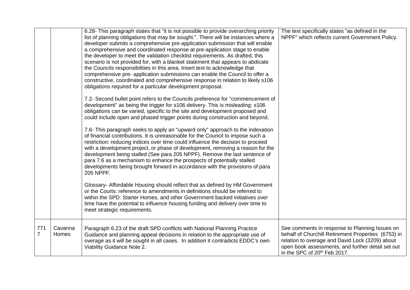|                       |                  | 6.28- This paragraph states that "it is not possible to provide overarching priority<br>list of planning obligations that may be sought.". There will be instances where a<br>developer submits a comprehensive pre-application submission that will enable<br>a comprehensive and coordinated response at pre-application stage to enable<br>the developer to meet the validation checklist requirements. As drafted, this<br>scenario is not provided for, with a blanket statement that appears to abdicate<br>the Councils responsibilities in this area. Insert text to acknowledge that<br>comprehensive pre- application submissions can enable the Council to offer a<br>constructive, coordinated and comprehensive response in relation to likely s106<br>obligations required for a particular development proposal.<br>7.2- Second bullet point refers to the Councils preference for "commencement of<br>development" as being the trigger for s106 delivery. This is misleading: s106<br>obligations can be varied, specific to the site and development proposed and<br>could include open and phased trigger points during construction and beyond.<br>7.6- This paragraph seeks to apply an "upward only" approach to the indexation<br>of financial contributions. It is unreasonable for the Council to impose such a<br>restriction: reducing indices over time could influence the decision to proceed<br>with a development project, or phase of development, removing a reason for the<br>development being stalled (See para 205 NPPF). Remove the last sentence of<br>para 7.6 as a mechanism to enhance the prospects of potentially stalled<br>developments being brought forward in accordance with the provisions of para<br>205 NPPF.<br>Glossary- Affordable Housing should reflect that as defined by HM Government<br>or the Courts: reference to amendments in definitions should be referred to<br>within the SPD: Starter Homes, and other Government backed initiatives over<br>time have the potential to influence housing funding and delivery over time to | The text specifically states "as defined in the<br>NPPF" which reflects current Government Policy.                                                                                                                                                        |
|-----------------------|------------------|-----------------------------------------------------------------------------------------------------------------------------------------------------------------------------------------------------------------------------------------------------------------------------------------------------------------------------------------------------------------------------------------------------------------------------------------------------------------------------------------------------------------------------------------------------------------------------------------------------------------------------------------------------------------------------------------------------------------------------------------------------------------------------------------------------------------------------------------------------------------------------------------------------------------------------------------------------------------------------------------------------------------------------------------------------------------------------------------------------------------------------------------------------------------------------------------------------------------------------------------------------------------------------------------------------------------------------------------------------------------------------------------------------------------------------------------------------------------------------------------------------------------------------------------------------------------------------------------------------------------------------------------------------------------------------------------------------------------------------------------------------------------------------------------------------------------------------------------------------------------------------------------------------------------------------------------------------------------------------------------------------------------------------------------------------------------------------------------------------|-----------------------------------------------------------------------------------------------------------------------------------------------------------------------------------------------------------------------------------------------------------|
|                       |                  | meet strategic requirements.                                                                                                                                                                                                                                                                                                                                                                                                                                                                                                                                                                                                                                                                                                                                                                                                                                                                                                                                                                                                                                                                                                                                                                                                                                                                                                                                                                                                                                                                                                                                                                                                                                                                                                                                                                                                                                                                                                                                                                                                                                                                        |                                                                                                                                                                                                                                                           |
| 771<br>$\overline{7}$ | Cavanna<br>Homes | Paragraph 6.23 of the draft SPD conflicts with National Planning Practice<br>Guidance and planning appeal decisions in relation to the appropriate use of<br>overage as it will be sought in all cases. In addition it contradicts EDDC's own<br>Viability Guidance Note 2.                                                                                                                                                                                                                                                                                                                                                                                                                                                                                                                                                                                                                                                                                                                                                                                                                                                                                                                                                                                                                                                                                                                                                                                                                                                                                                                                                                                                                                                                                                                                                                                                                                                                                                                                                                                                                         | See comments in response to Planning Issues on<br>behalf of Churchill Retirement Properties (6753) in<br>relation to overage and David Lock (3209) about<br>open book assessments, and further detail set out<br>in the SPC of 20 <sup>th</sup> Feb 2017. |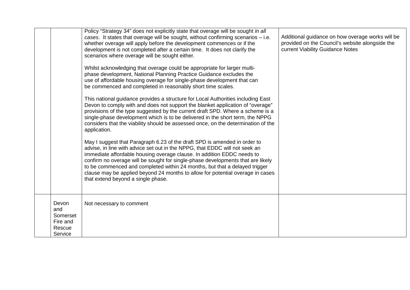|                                                           | Policy "Strategy 34" does not explicitly state that overage will be sought in all<br>cases. It states that overage will be sought, without confirming scenarios - i.e.<br>whether overage will apply before the development commences or if the<br>development is not completed after a certain time. It does not clarify the<br>scenarios where overage will be sought either.<br>Whilst acknowledging that overage could be appropriate for larger multi-<br>phase development, National Planning Practice Guidance excludes the<br>use of affordable housing overage for single-phase development that can<br>be commenced and completed in reasonably short time scales.<br>This national guidance provides a structure for Local Authorities including East<br>Devon to comply with and does not support the blanket application of "overage"<br>provisions of the type suggested by the current draft SPD. Where a scheme is a<br>single-phase development which is to be delivered in the short term, the NPPG<br>considers that the viability should be assessed once, on the determination of the<br>application.<br>May I suggest that Paragraph 6.23 of the draft SPD is amended in order to<br>advise, in line with advice set out in the NPPG, that EDDC will not seek an<br>immediate affordable housing overage clause. In addition EDDC needs to<br>confirm no overage will be sought for single-phase developments that are likely<br>to be commenced and completed within 24 months, but that a delayed trigger<br>clause may be applied beyond 24 months to allow for potential overage in cases<br>that extend beyond a single phase. | Additional guidance on how overage works will be<br>provided on the Council's website alongside the<br>current Viability Guidance Notes |
|-----------------------------------------------------------|-----------------------------------------------------------------------------------------------------------------------------------------------------------------------------------------------------------------------------------------------------------------------------------------------------------------------------------------------------------------------------------------------------------------------------------------------------------------------------------------------------------------------------------------------------------------------------------------------------------------------------------------------------------------------------------------------------------------------------------------------------------------------------------------------------------------------------------------------------------------------------------------------------------------------------------------------------------------------------------------------------------------------------------------------------------------------------------------------------------------------------------------------------------------------------------------------------------------------------------------------------------------------------------------------------------------------------------------------------------------------------------------------------------------------------------------------------------------------------------------------------------------------------------------------------------------------------------------------------------------------------------------------------------|-----------------------------------------------------------------------------------------------------------------------------------------|
|                                                           |                                                                                                                                                                                                                                                                                                                                                                                                                                                                                                                                                                                                                                                                                                                                                                                                                                                                                                                                                                                                                                                                                                                                                                                                                                                                                                                                                                                                                                                                                                                                                                                                                                                           |                                                                                                                                         |
| Devon<br>and<br>Somerset<br>Fire and<br>Rescue<br>Service | Not necessary to comment                                                                                                                                                                                                                                                                                                                                                                                                                                                                                                                                                                                                                                                                                                                                                                                                                                                                                                                                                                                                                                                                                                                                                                                                                                                                                                                                                                                                                                                                                                                                                                                                                                  |                                                                                                                                         |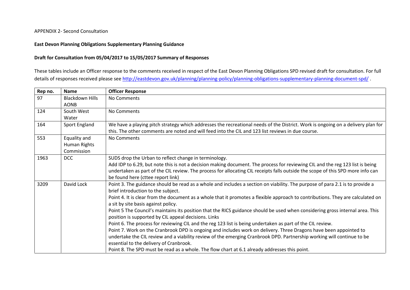#### APPENDIX 2- Second Consultation

#### **East Devon Planning Obligations Supplementary Planning Guidance**

#### **Draft for Consultation from 05/04/2017 to 15/05/2017 Summary of Responses**

These tables include an Officer response to the comments received in respect of the East Devon Planning Obligations SPD revised draft for consultation. For full details of responses received please see http://eastdevon.gov.uk/planning/planning-policy/planning-obligations-supplementary-planning-document-spd/.

| Rep no. | <b>Name</b>                                | <b>Officer Response</b>                                                                                                                                                                                                                                                                                                                                                                                                                                                                                                                                                                                                                                                                                                                                                                                                                                                                                                                                                                                                                        |
|---------|--------------------------------------------|------------------------------------------------------------------------------------------------------------------------------------------------------------------------------------------------------------------------------------------------------------------------------------------------------------------------------------------------------------------------------------------------------------------------------------------------------------------------------------------------------------------------------------------------------------------------------------------------------------------------------------------------------------------------------------------------------------------------------------------------------------------------------------------------------------------------------------------------------------------------------------------------------------------------------------------------------------------------------------------------------------------------------------------------|
| 97      | <b>Blackdown Hills</b><br><b>AONB</b>      | No Comments                                                                                                                                                                                                                                                                                                                                                                                                                                                                                                                                                                                                                                                                                                                                                                                                                                                                                                                                                                                                                                    |
| 124     | South West<br>Water                        | No Comments                                                                                                                                                                                                                                                                                                                                                                                                                                                                                                                                                                                                                                                                                                                                                                                                                                                                                                                                                                                                                                    |
| 164     | Sport England                              | We have a playing pitch strategy which addresses the recreational needs of the District. Work is ongoing on a delivery plan for<br>this. The other comments are noted and will feed into the CIL and 123 list reviews in due course.                                                                                                                                                                                                                                                                                                                                                                                                                                                                                                                                                                                                                                                                                                                                                                                                           |
| 553     | Equality and<br>Human Rights<br>Commission | No Comments                                                                                                                                                                                                                                                                                                                                                                                                                                                                                                                                                                                                                                                                                                                                                                                                                                                                                                                                                                                                                                    |
| 1963    | <b>DCC</b>                                 | SUDS drop the Urban to reflect change in terminology.<br>Add IDP to 6.29, but note this is not a decision making document. The process for reviewing CIL and the reg 123 list is being<br>undertaken as part of the CIL review. The process for allocating CIL receipts falls outside the scope of this SPD more info can<br>be found here (cttee report link)                                                                                                                                                                                                                                                                                                                                                                                                                                                                                                                                                                                                                                                                                 |
| 3209    | David Lock                                 | Point 3. The guidance should be read as a whole and includes a section on viability. The purpose of para 2.1 is to provide a<br>brief introduction to the subject.<br>Point 4. It is clear from the document as a whole that it promotes a flexible approach to contributions. They are calculated on<br>a sit by site basis against policy.<br>Point 5 The Council's maintains its position that the RICS guidance should be used when considering gross internal area. This<br>position is supported by CIL appeal decisions. Links<br>Point 6. The process for reviewing CIL and the reg 123 list is being undertaken as part of the CIL review.<br>Point 7. Work on the Cranbrook DPD is ongoing and includes work on delivery. Three Dragons have been appointed to<br>undertake the CIL review and a viability review of the emerging Cranbrook DPD. Partnership working will continue to be<br>essential to the delivery of Cranbrook.<br>Point 8. The SPD must be read as a whole. The flow chart at 6.1 already addresses this point. |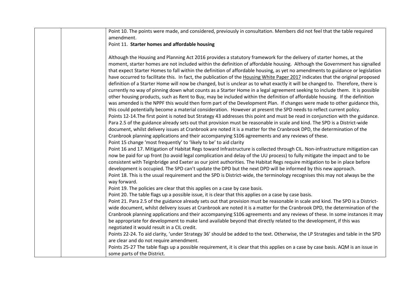| Point 10. The points were made, and considered, previously in consultation. Members did not feel that the table required                                                                                                                                                                                                                                                                                                                                                                                                                                                                                                                                                                                                                                                                                                                                                                                                                                                                                                                                                                                                                                                                                                                                                                                                                                                                                                                                                                                                                                         |
|------------------------------------------------------------------------------------------------------------------------------------------------------------------------------------------------------------------------------------------------------------------------------------------------------------------------------------------------------------------------------------------------------------------------------------------------------------------------------------------------------------------------------------------------------------------------------------------------------------------------------------------------------------------------------------------------------------------------------------------------------------------------------------------------------------------------------------------------------------------------------------------------------------------------------------------------------------------------------------------------------------------------------------------------------------------------------------------------------------------------------------------------------------------------------------------------------------------------------------------------------------------------------------------------------------------------------------------------------------------------------------------------------------------------------------------------------------------------------------------------------------------------------------------------------------------|
| amendment.                                                                                                                                                                                                                                                                                                                                                                                                                                                                                                                                                                                                                                                                                                                                                                                                                                                                                                                                                                                                                                                                                                                                                                                                                                                                                                                                                                                                                                                                                                                                                       |
| Point 11. Starter homes and affordable housing                                                                                                                                                                                                                                                                                                                                                                                                                                                                                                                                                                                                                                                                                                                                                                                                                                                                                                                                                                                                                                                                                                                                                                                                                                                                                                                                                                                                                                                                                                                   |
| Although the Housing and Planning Act 2016 provides a statutory framework for the delivery of starter homes, at the<br>moment, starter homes are not included within the definition of affordable housing. Although the Government has signalled<br>that expect Starter Homes to fall within the definition of affordable housing, as yet no amendments to guidance or legislation<br>have occurred to facilitate this. In fact, the publication of the Housing White Paper 2017 indicates that the original proposed<br>definition of a Starter Home will now be changed, but is unclear as to what exactly it will be changed to. Therefore, there is<br>currently no way of pinning down what counts as a Starter Home in a legal agreement seeking to include them. It is possible<br>other housing products, such as Rent to Buy, may be included within the definition of affordable housing. If the definition<br>was amended is the NPPF this would then form part of the Development Plan. If changes were made to other guidance this,<br>this could potentially become a material consideration. However at present the SPD needs to reflect current policy.<br>Points 12-14. The first point is noted but Strategy 43 addresses this point and must be read in conjunction with the guidance.<br>Para 2.5 of the guidance already sets out that provision must be reasonable in scale and kind. The SPD is a District-wide<br>document, whilst delivery issues at Cranbrook are noted it is a matter for the Cranbrook DPD, the determination of the |
| Cranbrook planning applications and their accompanying S106 agreements and any reviews of these.                                                                                                                                                                                                                                                                                                                                                                                                                                                                                                                                                                                                                                                                                                                                                                                                                                                                                                                                                                                                                                                                                                                                                                                                                                                                                                                                                                                                                                                                 |
| Point 15 change 'most frequently' to 'likely to be' to aid clarity<br>Point 16 and 17. Mitigation of Habitat Regs toward Infrastructure is collected through CIL. Non-infrastructure mitigation can<br>now be paid for up front (to avoid legal complication and delay of the UU process) to fully mitigate the impact and to be<br>consistent with Teignbridge and Exeter as our joint authorities. The Habitat Regs require mitigation to be in place before<br>development is occupied. The SPD can't update the DPD but the next DPD will be informed by this new approach.<br>Point 18. This is the usual requirement and the SPD is District-wide, the terminology recognises this may not always be the<br>way forward.                                                                                                                                                                                                                                                                                                                                                                                                                                                                                                                                                                                                                                                                                                                                                                                                                                   |
| Point 19. The policies are clear that this applies on a case by case basis.                                                                                                                                                                                                                                                                                                                                                                                                                                                                                                                                                                                                                                                                                                                                                                                                                                                                                                                                                                                                                                                                                                                                                                                                                                                                                                                                                                                                                                                                                      |
| Point 20. The table flags up a possible issue, it is clear that this applies on a case by case basis.                                                                                                                                                                                                                                                                                                                                                                                                                                                                                                                                                                                                                                                                                                                                                                                                                                                                                                                                                                                                                                                                                                                                                                                                                                                                                                                                                                                                                                                            |
| Point 21. Para 2.5 of the guidance already sets out that provision must be reasonable in scale and kind. The SPD is a District-<br>wide document, whilst delivery issues at Cranbrook are noted it is a matter for the Cranbrook DPD, the determination of the<br>Cranbrook planning applications and their accompanying S106 agreements and any reviews of these. In some instances it may<br>be appropriate for development to make land available beyond that directly related to the development, if this was<br>negotiated it would result in a CIL credit.                                                                                                                                                                                                                                                                                                                                                                                                                                                                                                                                                                                                                                                                                                                                                                                                                                                                                                                                                                                                 |
| Points 22-24. To aid clarity, 'under Strategy 36' should be added to the text. Otherwise, the LP Strategies and table in the SPD                                                                                                                                                                                                                                                                                                                                                                                                                                                                                                                                                                                                                                                                                                                                                                                                                                                                                                                                                                                                                                                                                                                                                                                                                                                                                                                                                                                                                                 |
| are clear and do not require amendment.                                                                                                                                                                                                                                                                                                                                                                                                                                                                                                                                                                                                                                                                                                                                                                                                                                                                                                                                                                                                                                                                                                                                                                                                                                                                                                                                                                                                                                                                                                                          |
| Points 25-27 The table flags up a possible requirement, it is clear that this applies on a case by case basis. AQM is an issue in<br>some parts of the District.                                                                                                                                                                                                                                                                                                                                                                                                                                                                                                                                                                                                                                                                                                                                                                                                                                                                                                                                                                                                                                                                                                                                                                                                                                                                                                                                                                                                 |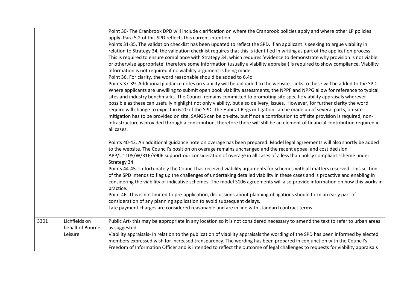|      |                                   | Point 30- The Cranbrook DPD will include clarification on where the Cranbrook policies apply and where other LP policies<br>apply. Para 5.2 of this SPD reflects this current intention.                                                                            |
|------|-----------------------------------|---------------------------------------------------------------------------------------------------------------------------------------------------------------------------------------------------------------------------------------------------------------------|
|      |                                   | Points 31-35. The validation checklist has been updated to reflect the SPD. If an applicant is seeking to argue viability in<br>relation to Strategy 34, the validation checklist requires that this is identified in writing as part of the application process.   |
|      |                                   | This is required to ensure compliance with Strategy 34, which requires 'evidence to demonstrate why provision is not viable<br>or otherwise appropriate' therefore some information (usually a viability appraisal) is required to show compliance. Viability       |
|      |                                   | information is not required if no viability argument is being made.<br>Point 36. For clarity, the word reasonable should be added to 6.4c                                                                                                                           |
|      |                                   | Points 37-39. Additional guidance notes on viability will be uploaded to the website. Links to these will be added to the SPD.<br>Where applicants are unwilling to submit open book viability assessments, the NPPF and NPPG allow for reference to typical        |
|      |                                   | sites and industry benchmarks. The Council remains committed to promoting site specific viability appraisals wherever                                                                                                                                               |
|      |                                   | possible as these can usefully highlight not only viability, but also delivery, issues. However, for further clarity the word                                                                                                                                       |
|      |                                   | require will change to expect in 6.20 of the SPD. The Habitat Regs mitigation can be made up of several parts, on-site                                                                                                                                              |
|      |                                   | mitigation has to be provided on site, SANGS can be on-site, but if not a contribution to off site provision is required, non-<br>infrastructure is provided through a contribution, therefore there will still be an element of financial contribution required in |
|      |                                   | all cases.                                                                                                                                                                                                                                                          |
|      |                                   | Points 40-43. An additional guidance note on overage has been prepared. Model legal agreements will also shortly be added<br>to the website. The Council's position on overage remains unchanged and the recent appeal and cost decision                            |
|      |                                   | APP/U1105/W/316/5906 support our consideration of overage in all cases of a less than policy compliant scheme under<br>Strategy 34.                                                                                                                                 |
|      |                                   | Points 44-45. Unfortunately the Council has received viability arguments for schemes with all matters reserved. This section                                                                                                                                        |
|      |                                   | of the SPD intends to flag up the challenges of undertaking detailed viability in these cases and is proactive and enabling in                                                                                                                                      |
|      |                                   | considering the viability of indicative schemes. The model S106 agreements will also provide information on how this works in<br>practice.                                                                                                                          |
|      |                                   | Point 46. This is not limited to pre-application, discussions about planning obligations should form an early part of<br>consideration of any planning application to avoid subsequent delays.                                                                      |
|      |                                   | Late payment charges are considered reasonable and are in line with standard contract terms.                                                                                                                                                                        |
| 3301 | Lichfields on<br>behalf of Bourne | Public Art-this may be appropriate in any location so it is not considered necessary to amend the text to refer to urban areas                                                                                                                                      |
|      | Leisure                           | as suggested.<br>Viability appraisals- In relation to the publication of viability appraisals the wording of the SPD has been informed by elected                                                                                                                   |
|      |                                   | members expressed wish for increased transparency. The wording has been prepared in conjunction with the Council's                                                                                                                                                  |
|      |                                   | Freedom of Information Officer and is intended to reflect the outcome of legal challenges to requests for viability appraisals                                                                                                                                      |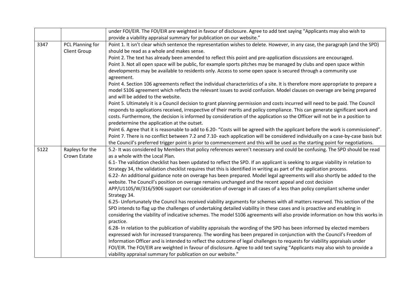|      |                     | under FOI/EIR. The FOI/EIR are weighted in favour of disclosure. Agree to add text saying "Applicants may also wish to                                                                                                                                   |
|------|---------------------|----------------------------------------------------------------------------------------------------------------------------------------------------------------------------------------------------------------------------------------------------------|
|      |                     | provide a viability appraisal summary for publication on our website."                                                                                                                                                                                   |
| 3347 | PCL Planning for    | Point 1. It isn't clear which sentence the representation wishes to delete. However, in any case, the paragraph (and the SPD)                                                                                                                            |
|      | <b>Client Group</b> | should be read as a whole and makes sense.                                                                                                                                                                                                               |
|      |                     | Point 2. The text has already been amended to reflect this point and pre-application discussions are encouraged.                                                                                                                                         |
|      |                     | Point 3. Not all open space will be public, for example sports pitches may be managed by clubs and open space within                                                                                                                                     |
|      |                     | developments may be available to residents only. Access to some open space is secured through a community use<br>agreement.                                                                                                                              |
|      |                     | Point 4. Section 106 agreements reflect the individual characteristics of a site. It is therefore more appropriate to prepare a                                                                                                                          |
|      |                     | model S106 agreement which reflects the relevant issues to avoid confusion. Model clauses on overage are being prepared<br>and will be added to the website.                                                                                             |
|      |                     | Point 5. Ultimately it is a Council decision to grant planning permission and costs incurred will need to be paid. The Council                                                                                                                           |
|      |                     | responds to applications received, irrespective of their merits and policy compliance. This can generate significant work and                                                                                                                            |
|      |                     | costs. Furthermore, the decision is informed by consideration of the application so the Officer will not be in a position to                                                                                                                             |
|      |                     | predetermine the application at the outset.                                                                                                                                                                                                              |
|      |                     | Point 6. Agree that it is reasonable to add to 6.20- "Costs will be agreed with the applicant before the work is commissioned".                                                                                                                          |
|      |                     | Point 7. There is no conflict between 7.2 and 7.10- each application will be considered individually on a case-by-case basis but                                                                                                                         |
|      |                     | the Council's preferred trigger point is prior to commencement and this will be used as the starting point for negotiations.                                                                                                                             |
| 5122 | Rapleys for the     | 5.2- It was considered by Members that policy references weren't necessary and could be confusing. The SPD should be read                                                                                                                                |
|      | Crown Estate        | as a whole with the Local Plan.                                                                                                                                                                                                                          |
|      |                     | 6.1- The validation checklist has been updated to reflect the SPD. If an applicant is seeking to argue viability in relation to<br>Strategy 34, the validation checklist requires that this is identified in writing as part of the application process. |
|      |                     | 6.22- An additional guidance note on overage has been prepared. Model legal agreements will also shortly be added to the                                                                                                                                 |
|      |                     | website. The Council's position on overage remains unchanged and the recent appeal and cost decision                                                                                                                                                     |
|      |                     | APP/U1105/W/316/5906 support our consideration of overage in all cases of a less than policy compliant scheme under                                                                                                                                      |
|      |                     | Strategy 34.                                                                                                                                                                                                                                             |
|      |                     | 6.25- Unfortunately the Council has received viability arguments for schemes with all matters reserved. This section of the                                                                                                                              |
|      |                     | SPD intends to flag up the challenges of undertaking detailed viability in these cases and is proactive and enabling in                                                                                                                                  |
|      |                     | considering the viability of indicative schemes. The model S106 agreements will also provide information on how this works in                                                                                                                            |
|      |                     | practice.                                                                                                                                                                                                                                                |
|      |                     | 6.28- In relation to the publication of viability appraisals the wording of the SPD has been informed by elected members                                                                                                                                 |
|      |                     | expressed wish for increased transparency. The wording has been prepared in conjunction with the Council's Freedom of                                                                                                                                    |
|      |                     | Information Officer and is intended to reflect the outcome of legal challenges to requests for viability appraisals under                                                                                                                                |
|      |                     | FOI/EIR. The FOI/EIR are weighted in favour of disclosure. Agree to add text saying "Applicants may also wish to provide a                                                                                                                               |
|      |                     | viability appraisal summary for publication on our website."                                                                                                                                                                                             |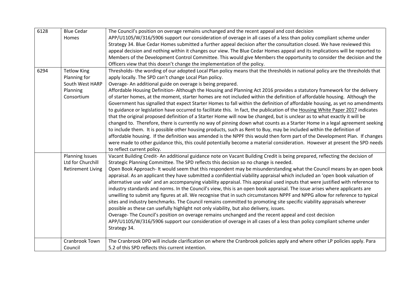| 6128 | <b>Blue Cedar</b>                           | The Council's position on overage remains unchanged and the recent appeal and cost decision                                                                                                                                                                                                                                                                                                                                                                                                                                                                                                                                                                                                                                                                                                                                                                               |
|------|---------------------------------------------|---------------------------------------------------------------------------------------------------------------------------------------------------------------------------------------------------------------------------------------------------------------------------------------------------------------------------------------------------------------------------------------------------------------------------------------------------------------------------------------------------------------------------------------------------------------------------------------------------------------------------------------------------------------------------------------------------------------------------------------------------------------------------------------------------------------------------------------------------------------------------|
|      | <b>Homes</b>                                | APP/U1105/W/316/5906 support our consideration of overage in all cases of a less than policy compliant scheme under                                                                                                                                                                                                                                                                                                                                                                                                                                                                                                                                                                                                                                                                                                                                                       |
|      |                                             | Strategy 34. Blue Cedar Homes submitted a further appeal decision after the consultation closed. We have reviewed this                                                                                                                                                                                                                                                                                                                                                                                                                                                                                                                                                                                                                                                                                                                                                    |
|      |                                             | appeal decision and nothing within it changes our view. The Blue Cedar Homes appeal and its implications will be reported to                                                                                                                                                                                                                                                                                                                                                                                                                                                                                                                                                                                                                                                                                                                                              |
|      |                                             | Members of the Development Control Committee. This would give Members the opportunity to consider the decision and the                                                                                                                                                                                                                                                                                                                                                                                                                                                                                                                                                                                                                                                                                                                                                    |
|      |                                             | Officers view that this doesn't change the implementation of the policy.                                                                                                                                                                                                                                                                                                                                                                                                                                                                                                                                                                                                                                                                                                                                                                                                  |
| 6294 | <b>Tetlow King</b>                          | Thresholds- the wording of our adopted Local Plan policy means that the thresholds in national policy are the thresholds that                                                                                                                                                                                                                                                                                                                                                                                                                                                                                                                                                                                                                                                                                                                                             |
|      | Planning for                                | apply locally. The SPD can't change Local Plan policy.                                                                                                                                                                                                                                                                                                                                                                                                                                                                                                                                                                                                                                                                                                                                                                                                                    |
|      | South West HARP                             | Overage-An additional guide on overage is being prepared.                                                                                                                                                                                                                                                                                                                                                                                                                                                                                                                                                                                                                                                                                                                                                                                                                 |
|      | Planning<br>Consortium                      | Affordable Housing Definition-Although the Housing and Planning Act 2016 provides a statutory framework for the delivery<br>of starter homes, at the moment, starter homes are not included within the definition of affordable housing. Although the                                                                                                                                                                                                                                                                                                                                                                                                                                                                                                                                                                                                                     |
|      |                                             | Government has signalled that expect Starter Homes to fall within the definition of affordable housing, as yet no amendments<br>to guidance or legislation have occurred to facilitate this. In fact, the publication of the Housing White Paper 2017 indicates<br>that the original proposed definition of a Starter Home will now be changed, but is unclear as to what exactly it will be<br>changed to. Therefore, there is currently no way of pinning down what counts as a Starter Home in a legal agreement seeking<br>to include them. It is possible other housing products, such as Rent to Buy, may be included within the definition of                                                                                                                                                                                                                      |
|      |                                             | affordable housing. If the definition was amended is the NPPF this would then form part of the Development Plan. If changes<br>were made to other guidance this, this could potentially become a material consideration. However at present the SPD needs<br>to reflect current policy.                                                                                                                                                                                                                                                                                                                                                                                                                                                                                                                                                                                   |
|      | <b>Planning Issues</b><br>Ltd for Churchill | Vacant Building Credit-An additional guidance note on Vacant Building Credit is being prepared, reflecting the decision of<br>Strategic Planning Committee. The SPD reflects this decision so no change is needed.                                                                                                                                                                                                                                                                                                                                                                                                                                                                                                                                                                                                                                                        |
|      | <b>Retirement Living</b>                    | Open Book Approach- It would seem that this respondent may be misunderstanding what the Council means by an open book<br>appraisal. As an applicant they have submitted a confidential viability appraisal which included an 'open book valuation of<br>alternative use vale' and an accompanying viability appraisal. This appraisal used inputs that were justified with reference to<br>industry standards and norms. In the Council's view, this is an open book appraisal. The issue arises where applicants are<br>unwilling to submit any figures at all. We recognise that in such circumstances NPPF and NPPG allow for reference to typical<br>sites and industry benchmarks. The Council remains committed to promoting site specific viability appraisals wherever<br>possible as these can usefully highlight not only viability, but also delivery, issues. |
|      |                                             | Overage-The Council's position on overage remains unchanged and the recent appeal and cost decision                                                                                                                                                                                                                                                                                                                                                                                                                                                                                                                                                                                                                                                                                                                                                                       |
|      |                                             | APP/U1105/W/316/5906 support our consideration of overage in all cases of a less than policy compliant scheme under                                                                                                                                                                                                                                                                                                                                                                                                                                                                                                                                                                                                                                                                                                                                                       |
|      |                                             | Strategy 34.                                                                                                                                                                                                                                                                                                                                                                                                                                                                                                                                                                                                                                                                                                                                                                                                                                                              |
|      | Cranbrook Town                              | The Cranbrook DPD will include clarification on where the Cranbrook policies apply and where other LP policies apply. Para                                                                                                                                                                                                                                                                                                                                                                                                                                                                                                                                                                                                                                                                                                                                                |
|      | Council                                     | 5.2 of this SPD reflects this current intention.                                                                                                                                                                                                                                                                                                                                                                                                                                                                                                                                                                                                                                                                                                                                                                                                                          |